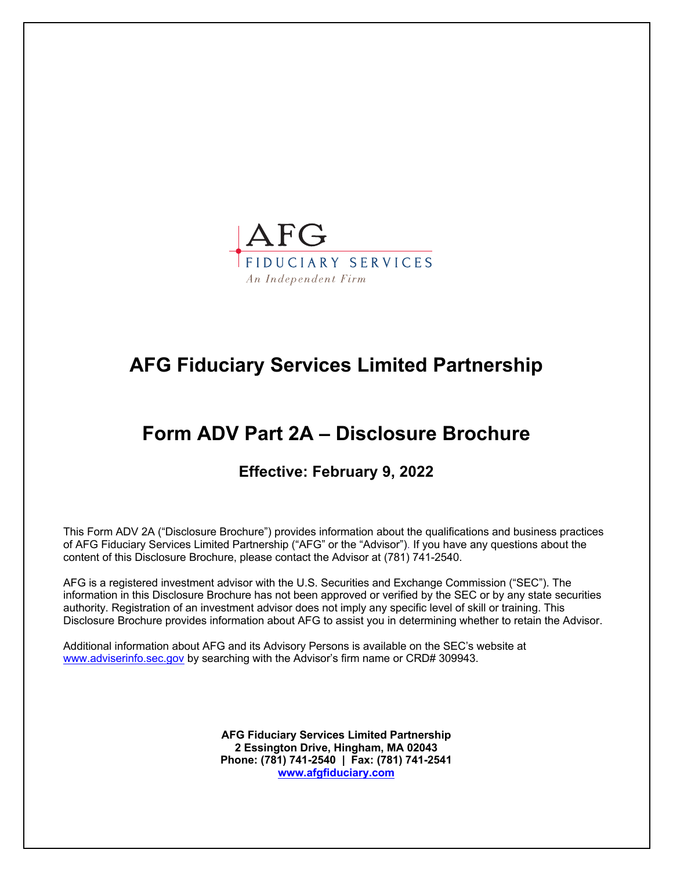

# **AFG Fiduciary Services Limited Partnership**

# **Form ADV Part 2A – Disclosure Brochure**

# **Effective: February 9, 2022**

This Form ADV 2A ("Disclosure Brochure") provides information about the qualifications and business practices of AFG Fiduciary Services Limited Partnership ("AFG" or the "Advisor"). If you have any questions about the content of this Disclosure Brochure, please contact the Advisor at (781) 741-2540.

AFG is a registered investment advisor with the U.S. Securities and Exchange Commission ("SEC"). The information in this Disclosure Brochure has not been approved or verified by the SEC or by any state securities authority. Registration of an investment advisor does not imply any specific level of skill or training. This Disclosure Brochure provides information about AFG to assist you in determining whether to retain the Advisor.

Additional information about AFG and its Advisory Persons is available on the SEC's website at www.adviserinfo.sec.gov by searching with the Advisor's firm name or CRD# 309943.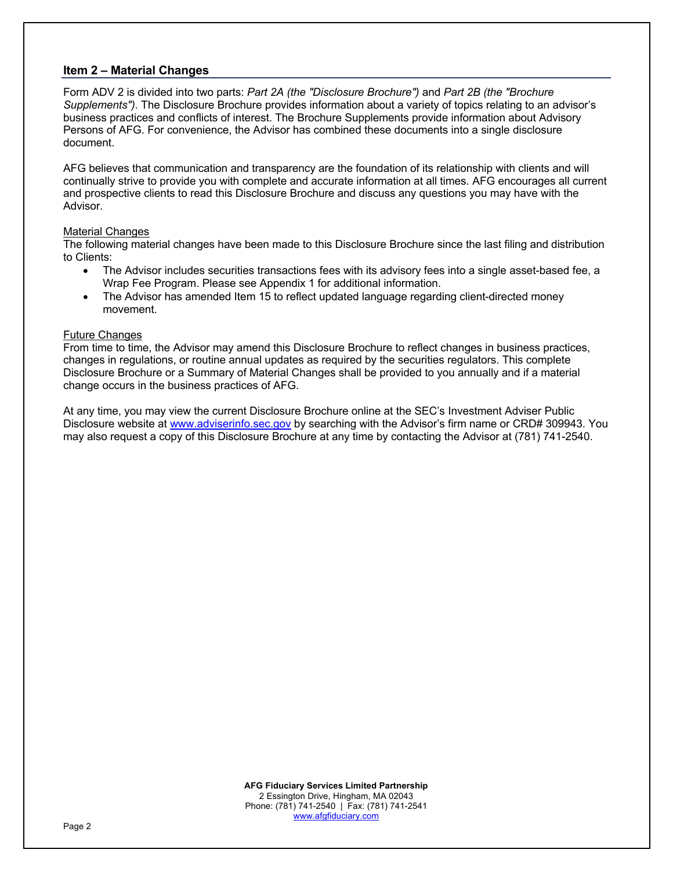# **Item 2 – Material Changes**

Form ADV 2 is divided into two parts: *Part 2A (the "Disclosure Brochure")* and *Part 2B (the "Brochure Supplements")*. The Disclosure Brochure provides information about a variety of topics relating to an advisor's business practices and conflicts of interest. The Brochure Supplements provide information about Advisory Persons of AFG. For convenience, the Advisor has combined these documents into a single disclosure document.

AFG believes that communication and transparency are the foundation of its relationship with clients and will continually strive to provide you with complete and accurate information at all times. AFG encourages all current and prospective clients to read this Disclosure Brochure and discuss any questions you may have with the Advisor.

#### Material Changes

The following material changes have been made to this Disclosure Brochure since the last filing and distribution to Clients:

- The Advisor includes securities transactions fees with its advisory fees into a single asset-based fee, a Wrap Fee Program. Please see Appendix 1 for additional information.
- The Advisor has amended Item 15 to reflect updated language regarding client-directed money movement.

#### Future Changes

From time to time, the Advisor may amend this Disclosure Brochure to reflect changes in business practices, changes in regulations, or routine annual updates as required by the securities regulators. This complete Disclosure Brochure or a Summary of Material Changes shall be provided to you annually and if a material change occurs in the business practices of AFG.

At any time, you may view the current Disclosure Brochure online at the SEC's Investment Adviser Public Disclosure website at www.adviserinfo.sec.gov by searching with the Advisor's firm name or CRD# 309943. You may also request a copy of this Disclosure Brochure at any time by contacting the Advisor at (781) 741-2540.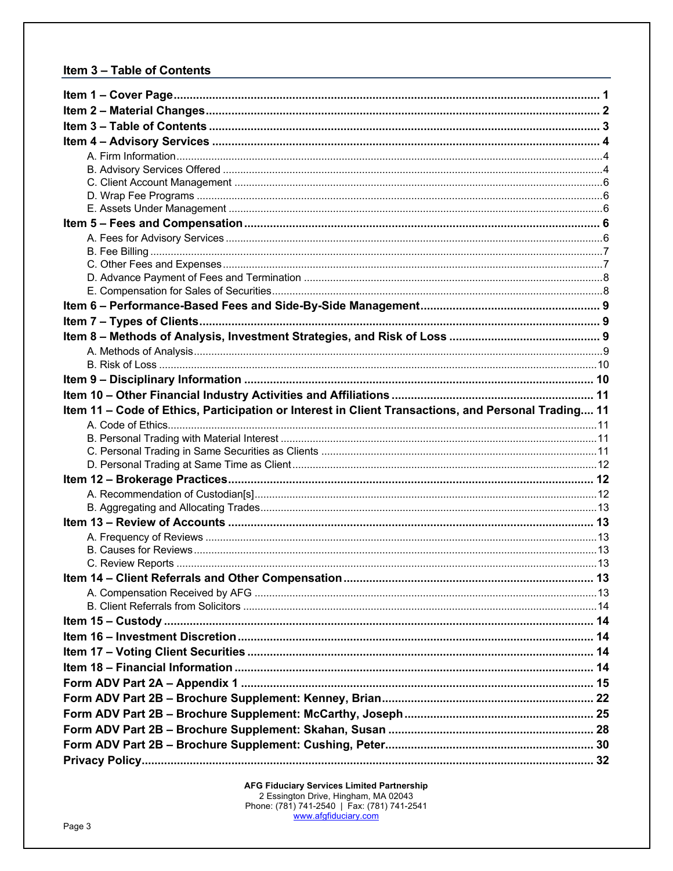# Item 3 - Table of Contents

| Item 11 - Code of Ethics, Participation or Interest in Client Transactions, and Personal Trading 11 |  |
|-----------------------------------------------------------------------------------------------------|--|
|                                                                                                     |  |
|                                                                                                     |  |
|                                                                                                     |  |
|                                                                                                     |  |
|                                                                                                     |  |
|                                                                                                     |  |
|                                                                                                     |  |
|                                                                                                     |  |
|                                                                                                     |  |
|                                                                                                     |  |
|                                                                                                     |  |
|                                                                                                     |  |
|                                                                                                     |  |
|                                                                                                     |  |
|                                                                                                     |  |
|                                                                                                     |  |
|                                                                                                     |  |
|                                                                                                     |  |
|                                                                                                     |  |
|                                                                                                     |  |
|                                                                                                     |  |
|                                                                                                     |  |
|                                                                                                     |  |
|                                                                                                     |  |
|                                                                                                     |  |
|                                                                                                     |  |
|                                                                                                     |  |
|                                                                                                     |  |
|                                                                                                     |  |
|                                                                                                     |  |
|                                                                                                     |  |
|                                                                                                     |  |
|                                                                                                     |  |
|                                                                                                     |  |
|                                                                                                     |  |
|                                                                                                     |  |
|                                                                                                     |  |
|                                                                                                     |  |
|                                                                                                     |  |
|                                                                                                     |  |
|                                                                                                     |  |
|                                                                                                     |  |
|                                                                                                     |  |
|                                                                                                     |  |
|                                                                                                     |  |
|                                                                                                     |  |
|                                                                                                     |  |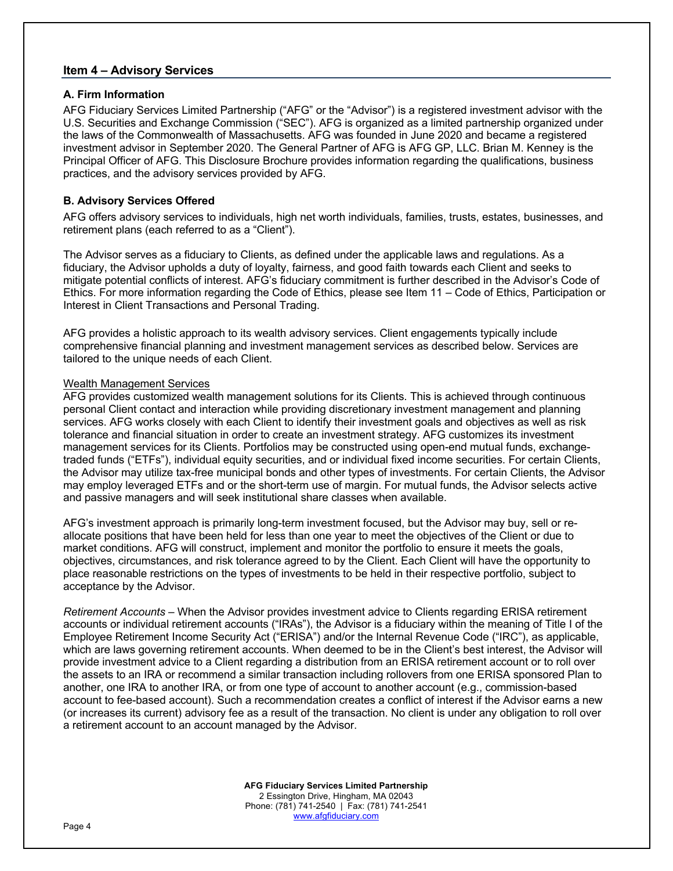### **Item 4 – Advisory Services**

### **A. Firm Information**

AFG Fiduciary Services Limited Partnership ("AFG" or the "Advisor") is a registered investment advisor with the U.S. Securities and Exchange Commission ("SEC"). AFG is organized as a limited partnership organized under the laws of the Commonwealth of Massachusetts. AFG was founded in June 2020 and became a registered investment advisor in September 2020. The General Partner of AFG is AFG GP, LLC. Brian M. Kenney is the Principal Officer of AFG. This Disclosure Brochure provides information regarding the qualifications, business practices, and the advisory services provided by AFG.

# **B. Advisory Services Offered**

AFG offers advisory services to individuals, high net worth individuals, families, trusts, estates, businesses, and retirement plans (each referred to as a "Client").

The Advisor serves as a fiduciary to Clients, as defined under the applicable laws and regulations. As a fiduciary, the Advisor upholds a duty of loyalty, fairness, and good faith towards each Client and seeks to mitigate potential conflicts of interest. AFG's fiduciary commitment is further described in the Advisor's Code of Ethics. For more information regarding the Code of Ethics, please see Item 11 – Code of Ethics, Participation or Interest in Client Transactions and Personal Trading.

AFG provides a holistic approach to its wealth advisory services. Client engagements typically include comprehensive financial planning and investment management services as described below. Services are tailored to the unique needs of each Client.

#### Wealth Management Services

AFG provides customized wealth management solutions for its Clients. This is achieved through continuous personal Client contact and interaction while providing discretionary investment management and planning services. AFG works closely with each Client to identify their investment goals and objectives as well as risk tolerance and financial situation in order to create an investment strategy. AFG customizes its investment management services for its Clients. Portfolios may be constructed using open-end mutual funds, exchangetraded funds ("ETFs"), individual equity securities, and or individual fixed income securities. For certain Clients, the Advisor may utilize tax-free municipal bonds and other types of investments. For certain Clients, the Advisor may employ leveraged ETFs and or the short-term use of margin. For mutual funds, the Advisor selects active and passive managers and will seek institutional share classes when available.

AFG's investment approach is primarily long-term investment focused, but the Advisor may buy, sell or reallocate positions that have been held for less than one year to meet the objectives of the Client or due to market conditions. AFG will construct, implement and monitor the portfolio to ensure it meets the goals, objectives, circumstances, and risk tolerance agreed to by the Client. Each Client will have the opportunity to place reasonable restrictions on the types of investments to be held in their respective portfolio, subject to acceptance by the Advisor.

*Retirement Accounts* – When the Advisor provides investment advice to Clients regarding ERISA retirement accounts or individual retirement accounts ("IRAs"), the Advisor is a fiduciary within the meaning of Title I of the Employee Retirement Income Security Act ("ERISA") and/or the Internal Revenue Code ("IRC"), as applicable, which are laws governing retirement accounts. When deemed to be in the Client's best interest, the Advisor will provide investment advice to a Client regarding a distribution from an ERISA retirement account or to roll over the assets to an IRA or recommend a similar transaction including rollovers from one ERISA sponsored Plan to another, one IRA to another IRA, or from one type of account to another account (e.g., commission-based account to fee-based account). Such a recommendation creates a conflict of interest if the Advisor earns a new (or increases its current) advisory fee as a result of the transaction. No client is under any obligation to roll over a retirement account to an account managed by the Advisor.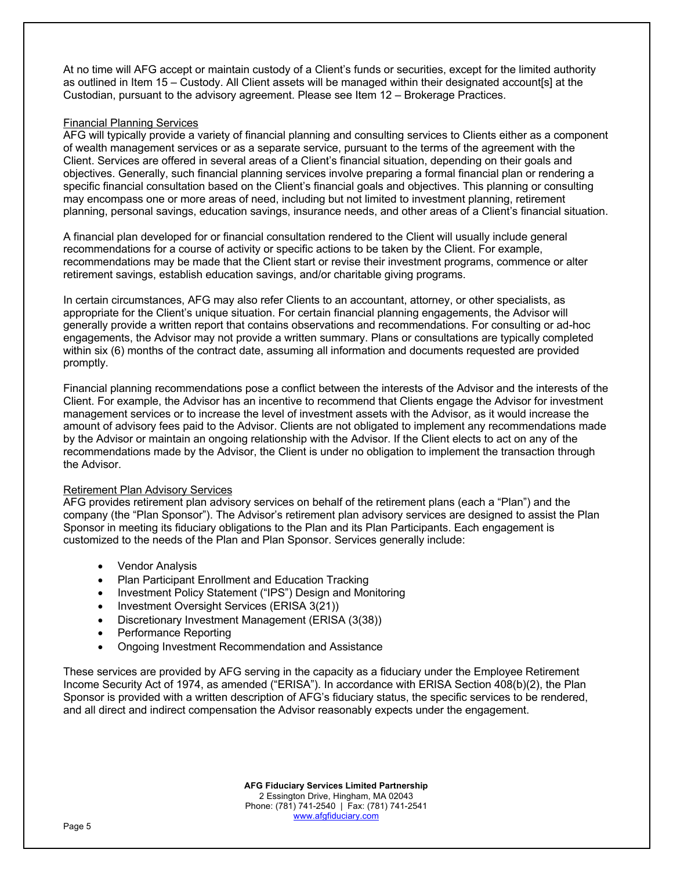At no time will AFG accept or maintain custody of a Client's funds or securities, except for the limited authority as outlined in Item 15 – Custody. All Client assets will be managed within their designated account[s] at the Custodian, pursuant to the advisory agreement. Please see Item 12 – Brokerage Practices.

# Financial Planning Services

AFG will typically provide a variety of financial planning and consulting services to Clients either as a component of wealth management services or as a separate service, pursuant to the terms of the agreement with the Client. Services are offered in several areas of a Client's financial situation, depending on their goals and objectives. Generally, such financial planning services involve preparing a formal financial plan or rendering a specific financial consultation based on the Client's financial goals and objectives. This planning or consulting may encompass one or more areas of need, including but not limited to investment planning, retirement planning, personal savings, education savings, insurance needs, and other areas of a Client's financial situation.

A financial plan developed for or financial consultation rendered to the Client will usually include general recommendations for a course of activity or specific actions to be taken by the Client. For example, recommendations may be made that the Client start or revise their investment programs, commence or alter retirement savings, establish education savings, and/or charitable giving programs.

In certain circumstances, AFG may also refer Clients to an accountant, attorney, or other specialists, as appropriate for the Client's unique situation. For certain financial planning engagements, the Advisor will generally provide a written report that contains observations and recommendations. For consulting or ad-hoc engagements, the Advisor may not provide a written summary. Plans or consultations are typically completed within six (6) months of the contract date, assuming all information and documents requested are provided promptly.

Financial planning recommendations pose a conflict between the interests of the Advisor and the interests of the Client. For example, the Advisor has an incentive to recommend that Clients engage the Advisor for investment management services or to increase the level of investment assets with the Advisor, as it would increase the amount of advisory fees paid to the Advisor. Clients are not obligated to implement any recommendations made by the Advisor or maintain an ongoing relationship with the Advisor. If the Client elects to act on any of the recommendations made by the Advisor, the Client is under no obligation to implement the transaction through the Advisor.

# Retirement Plan Advisory Services

AFG provides retirement plan advisory services on behalf of the retirement plans (each a "Plan") and the company (the "Plan Sponsor"). The Advisor's retirement plan advisory services are designed to assist the Plan Sponsor in meeting its fiduciary obligations to the Plan and its Plan Participants. Each engagement is customized to the needs of the Plan and Plan Sponsor. Services generally include:

- Vendor Analysis
- Plan Participant Enrollment and Education Tracking
- Investment Policy Statement ("IPS") Design and Monitoring
- Investment Oversight Services (ERISA 3(21))
- Discretionary Investment Management (ERISA (3(38))
- Performance Reporting
- Ongoing Investment Recommendation and Assistance

These services are provided by AFG serving in the capacity as a fiduciary under the Employee Retirement Income Security Act of 1974, as amended ("ERISA"). In accordance with ERISA Section 408(b)(2), the Plan Sponsor is provided with a written description of AFG's fiduciary status, the specific services to be rendered, and all direct and indirect compensation the Advisor reasonably expects under the engagement.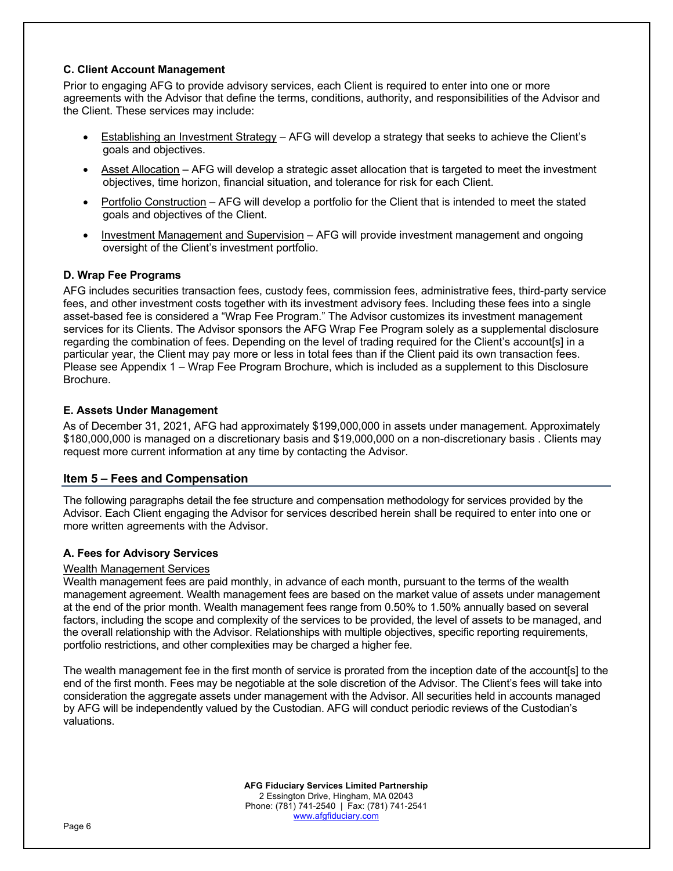# **C. Client Account Management**

Prior to engaging AFG to provide advisory services, each Client is required to enter into one or more agreements with the Advisor that define the terms, conditions, authority, and responsibilities of the Advisor and the Client. These services may include:

- Establishing an Investment Strategy AFG will develop a strategy that seeks to achieve the Client's goals and objectives.
- Asset Allocation AFG will develop a strategic asset allocation that is targeted to meet the investment objectives, time horizon, financial situation, and tolerance for risk for each Client.
- Portfolio Construction AFG will develop a portfolio for the Client that is intended to meet the stated goals and objectives of the Client.
- Investment Management and Supervision AFG will provide investment management and ongoing oversight of the Client's investment portfolio.

# **D. Wrap Fee Programs**

AFG includes securities transaction fees, custody fees, commission fees, administrative fees, third-party service fees, and other investment costs together with its investment advisory fees. Including these fees into a single asset-based fee is considered a "Wrap Fee Program." The Advisor customizes its investment management services for its Clients. The Advisor sponsors the AFG Wrap Fee Program solely as a supplemental disclosure regarding the combination of fees. Depending on the level of trading required for the Client's account[s] in a particular year, the Client may pay more or less in total fees than if the Client paid its own transaction fees. Please see Appendix 1 – Wrap Fee Program Brochure, which is included as a supplement to this Disclosure Brochure.

# **E. Assets Under Management**

As of December 31, 2021, AFG had approximately \$199,000,000 in assets under management. Approximately \$180,000,000 is managed on a discretionary basis and \$19,000,000 on a non-discretionary basis . Clients may request more current information at any time by contacting the Advisor.

# **Item 5 – Fees and Compensation**

The following paragraphs detail the fee structure and compensation methodology for services provided by the Advisor. Each Client engaging the Advisor for services described herein shall be required to enter into one or more written agreements with the Advisor.

# **A. Fees for Advisory Services**

# Wealth Management Services

Wealth management fees are paid monthly, in advance of each month, pursuant to the terms of the wealth management agreement. Wealth management fees are based on the market value of assets under management at the end of the prior month. Wealth management fees range from 0.50% to 1.50% annually based on several factors, including the scope and complexity of the services to be provided, the level of assets to be managed, and the overall relationship with the Advisor. Relationships with multiple objectives, specific reporting requirements, portfolio restrictions, and other complexities may be charged a higher fee.

The wealth management fee in the first month of service is prorated from the inception date of the account[s] to the end of the first month. Fees may be negotiable at the sole discretion of the Advisor. The Client's fees will take into consideration the aggregate assets under management with the Advisor. All securities held in accounts managed by AFG will be independently valued by the Custodian. AFG will conduct periodic reviews of the Custodian's valuations.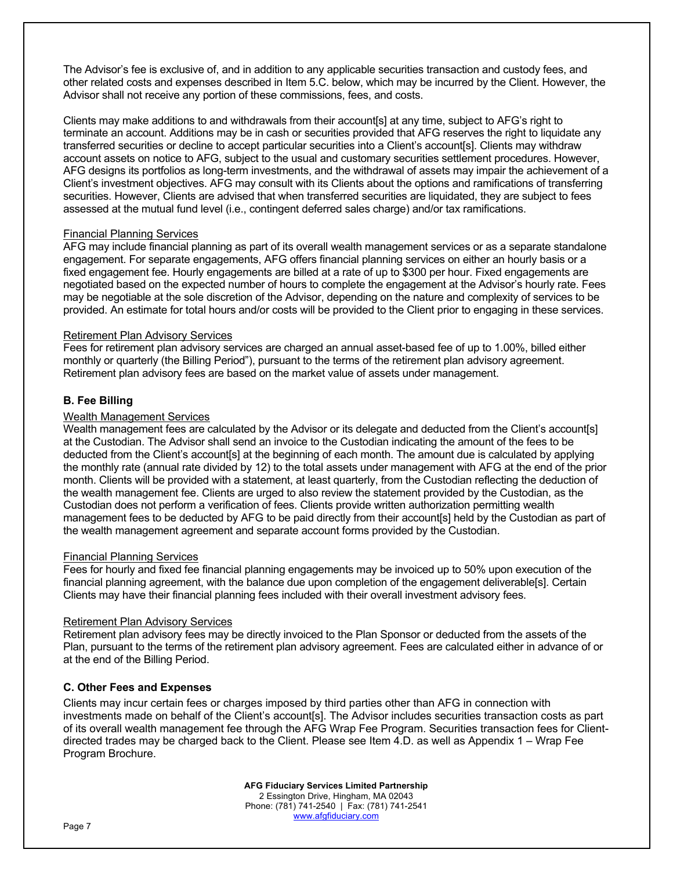The Advisor's fee is exclusive of, and in addition to any applicable securities transaction and custody fees, and other related costs and expenses described in Item 5.C. below, which may be incurred by the Client. However, the Advisor shall not receive any portion of these commissions, fees, and costs.

Clients may make additions to and withdrawals from their account[s] at any time, subject to AFG's right to terminate an account. Additions may be in cash or securities provided that AFG reserves the right to liquidate any transferred securities or decline to accept particular securities into a Client's account[s]. Clients may withdraw account assets on notice to AFG, subject to the usual and customary securities settlement procedures. However, AFG designs its portfolios as long-term investments, and the withdrawal of assets may impair the achievement of a Client's investment objectives. AFG may consult with its Clients about the options and ramifications of transferring securities. However, Clients are advised that when transferred securities are liquidated, they are subject to fees assessed at the mutual fund level (i.e., contingent deferred sales charge) and/or tax ramifications.

#### Financial Planning Services

AFG may include financial planning as part of its overall wealth management services or as a separate standalone engagement. For separate engagements, AFG offers financial planning services on either an hourly basis or a fixed engagement fee. Hourly engagements are billed at a rate of up to \$300 per hour. Fixed engagements are negotiated based on the expected number of hours to complete the engagement at the Advisor's hourly rate. Fees may be negotiable at the sole discretion of the Advisor, depending on the nature and complexity of services to be provided. An estimate for total hours and/or costs will be provided to the Client prior to engaging in these services.

#### Retirement Plan Advisory Services

Fees for retirement plan advisory services are charged an annual asset-based fee of up to 1.00%, billed either monthly or quarterly (the Billing Period"), pursuant to the terms of the retirement plan advisory agreement. Retirement plan advisory fees are based on the market value of assets under management.

#### **B. Fee Billing**

#### Wealth Management Services

Wealth management fees are calculated by the Advisor or its delegate and deducted from the Client's account[s] at the Custodian. The Advisor shall send an invoice to the Custodian indicating the amount of the fees to be deducted from the Client's account[s] at the beginning of each month. The amount due is calculated by applying the monthly rate (annual rate divided by 12) to the total assets under management with AFG at the end of the prior month. Clients will be provided with a statement, at least quarterly, from the Custodian reflecting the deduction of the wealth management fee. Clients are urged to also review the statement provided by the Custodian, as the Custodian does not perform a verification of fees. Clients provide written authorization permitting wealth management fees to be deducted by AFG to be paid directly from their account[s] held by the Custodian as part of the wealth management agreement and separate account forms provided by the Custodian.

#### Financial Planning Services

Fees for hourly and fixed fee financial planning engagements may be invoiced up to 50% upon execution of the financial planning agreement, with the balance due upon completion of the engagement deliverable[s]. Certain Clients may have their financial planning fees included with their overall investment advisory fees.

# Retirement Plan Advisory Services

Retirement plan advisory fees may be directly invoiced to the Plan Sponsor or deducted from the assets of the Plan, pursuant to the terms of the retirement plan advisory agreement. Fees are calculated either in advance of or at the end of the Billing Period.

# **C. Other Fees and Expenses**

Clients may incur certain fees or charges imposed by third parties other than AFG in connection with investments made on behalf of the Client's account[s]. The Advisor includes securities transaction costs as part of its overall wealth management fee through the AFG Wrap Fee Program. Securities transaction fees for Clientdirected trades may be charged back to the Client. Please see Item 4.D. as well as Appendix 1 – Wrap Fee Program Brochure.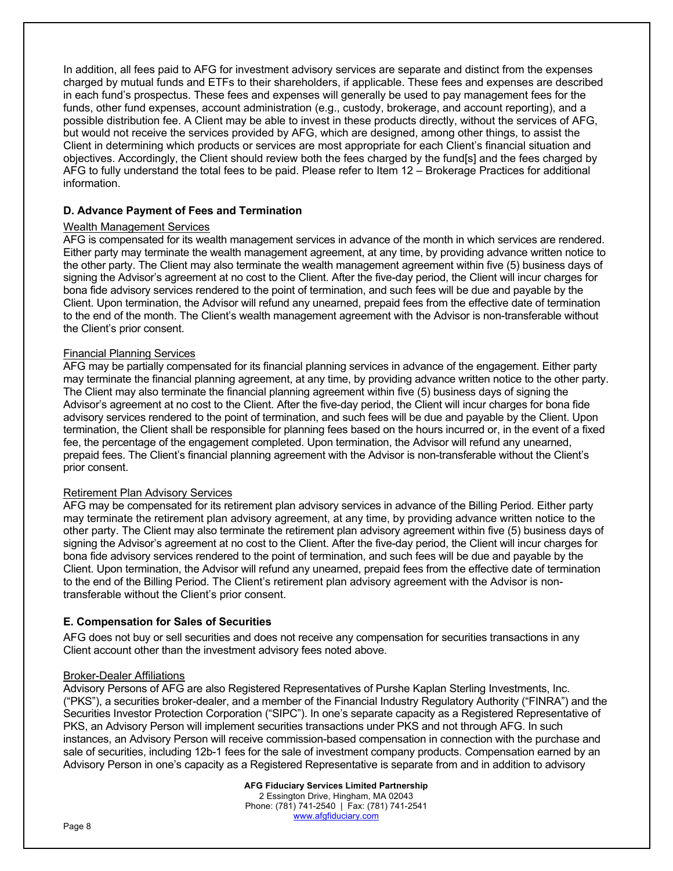In addition, all fees paid to AFG for investment advisory services are separate and distinct from the expenses charged by mutual funds and ETFs to their shareholders, if applicable. These fees and expenses are described in each fund's prospectus. These fees and expenses will generally be used to pay management fees for the funds, other fund expenses, account administration (e.g., custody, brokerage, and account reporting), and a possible distribution fee. A Client may be able to invest in these products directly, without the services of AFG, but would not receive the services provided by AFG, which are designed, among other things, to assist the Client in determining which products or services are most appropriate for each Client's financial situation and objectives. Accordingly, the Client should review both the fees charged by the fund[s] and the fees charged by AFG to fully understand the total fees to be paid. Please refer to Item 12 – Brokerage Practices for additional information.

# **D. Advance Payment of Fees and Termination**

# Wealth Management Services

AFG is compensated for its wealth management services in advance of the month in which services are rendered. Either party may terminate the wealth management agreement, at any time, by providing advance written notice to the other party. The Client may also terminate the wealth management agreement within five (5) business days of signing the Advisor's agreement at no cost to the Client. After the five-day period, the Client will incur charges for bona fide advisory services rendered to the point of termination, and such fees will be due and payable by the Client. Upon termination, the Advisor will refund any unearned, prepaid fees from the effective date of termination to the end of the month. The Client's wealth management agreement with the Advisor is non-transferable without the Client's prior consent.

# Financial Planning Services

AFG may be partially compensated for its financial planning services in advance of the engagement. Either party may terminate the financial planning agreement, at any time, by providing advance written notice to the other party. The Client may also terminate the financial planning agreement within five (5) business days of signing the Advisor's agreement at no cost to the Client. After the five-day period, the Client will incur charges for bona fide advisory services rendered to the point of termination, and such fees will be due and payable by the Client. Upon termination, the Client shall be responsible for planning fees based on the hours incurred or, in the event of a fixed fee, the percentage of the engagement completed. Upon termination, the Advisor will refund any unearned, prepaid fees. The Client's financial planning agreement with the Advisor is non-transferable without the Client's prior consent.

# Retirement Plan Advisory Services

AFG may be compensated for its retirement plan advisory services in advance of the Billing Period. Either party may terminate the retirement plan advisory agreement, at any time, by providing advance written notice to the other party. The Client may also terminate the retirement plan advisory agreement within five (5) business days of signing the Advisor's agreement at no cost to the Client. After the five-day period, the Client will incur charges for bona fide advisory services rendered to the point of termination, and such fees will be due and payable by the Client. Upon termination, the Advisor will refund any unearned, prepaid fees from the effective date of termination to the end of the Billing Period. The Client's retirement plan advisory agreement with the Advisor is nontransferable without the Client's prior consent.

# **E. Compensation for Sales of Securities**

AFG does not buy or sell securities and does not receive any compensation for securities transactions in any Client account other than the investment advisory fees noted above.

# Broker-Dealer Affiliations

Advisory Persons of AFG are also Registered Representatives of Purshe Kaplan Sterling Investments, Inc. ("PKS"), a securities broker-dealer, and a member of the Financial Industry Regulatory Authority ("FINRA") and the Securities Investor Protection Corporation ("SIPC"). In one's separate capacity as a Registered Representative of PKS, an Advisory Person will implement securities transactions under PKS and not through AFG. In such instances, an Advisory Person will receive commission-based compensation in connection with the purchase and sale of securities, including 12b-1 fees for the sale of investment company products. Compensation earned by an Advisory Person in one's capacity as a Registered Representative is separate from and in addition to advisory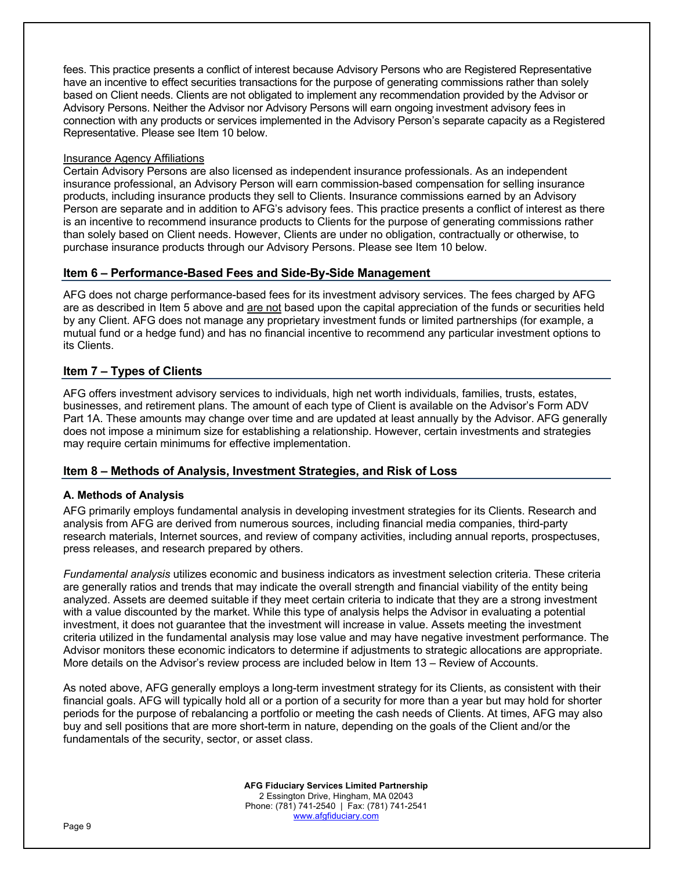fees. This practice presents a conflict of interest because Advisory Persons who are Registered Representative have an incentive to effect securities transactions for the purpose of generating commissions rather than solely based on Client needs. Clients are not obligated to implement any recommendation provided by the Advisor or Advisory Persons. Neither the Advisor nor Advisory Persons will earn ongoing investment advisory fees in connection with any products or services implemented in the Advisory Person's separate capacity as a Registered Representative. Please see Item 10 below.

### Insurance Agency Affiliations

Certain Advisory Persons are also licensed as independent insurance professionals. As an independent insurance professional, an Advisory Person will earn commission-based compensation for selling insurance products, including insurance products they sell to Clients. Insurance commissions earned by an Advisory Person are separate and in addition to AFG's advisory fees. This practice presents a conflict of interest as there is an incentive to recommend insurance products to Clients for the purpose of generating commissions rather than solely based on Client needs. However, Clients are under no obligation, contractually or otherwise, to purchase insurance products through our Advisory Persons. Please see Item 10 below.

# **Item 6 – Performance-Based Fees and Side-By-Side Management**

AFG does not charge performance-based fees for its investment advisory services. The fees charged by AFG are as described in Item 5 above and are not based upon the capital appreciation of the funds or securities held by any Client. AFG does not manage any proprietary investment funds or limited partnerships (for example, a mutual fund or a hedge fund) and has no financial incentive to recommend any particular investment options to its Clients.

# **Item 7 – Types of Clients**

AFG offers investment advisory services to individuals, high net worth individuals, families, trusts, estates, businesses, and retirement plans. The amount of each type of Client is available on the Advisor's Form ADV Part 1A. These amounts may change over time and are updated at least annually by the Advisor. AFG generally does not impose a minimum size for establishing a relationship. However, certain investments and strategies may require certain minimums for effective implementation.

# **Item 8 – Methods of Analysis, Investment Strategies, and Risk of Loss**

# **A. Methods of Analysis**

AFG primarily employs fundamental analysis in developing investment strategies for its Clients. Research and analysis from AFG are derived from numerous sources, including financial media companies, third-party research materials, Internet sources, and review of company activities, including annual reports, prospectuses, press releases, and research prepared by others.

*Fundamental analysis* utilizes economic and business indicators as investment selection criteria. These criteria are generally ratios and trends that may indicate the overall strength and financial viability of the entity being analyzed. Assets are deemed suitable if they meet certain criteria to indicate that they are a strong investment with a value discounted by the market. While this type of analysis helps the Advisor in evaluating a potential investment, it does not guarantee that the investment will increase in value. Assets meeting the investment criteria utilized in the fundamental analysis may lose value and may have negative investment performance. The Advisor monitors these economic indicators to determine if adjustments to strategic allocations are appropriate. More details on the Advisor's review process are included below in Item 13 – Review of Accounts.

As noted above, AFG generally employs a long-term investment strategy for its Clients, as consistent with their financial goals. AFG will typically hold all or a portion of a security for more than a year but may hold for shorter periods for the purpose of rebalancing a portfolio or meeting the cash needs of Clients. At times, AFG may also buy and sell positions that are more short-term in nature, depending on the goals of the Client and/or the fundamentals of the security, sector, or asset class.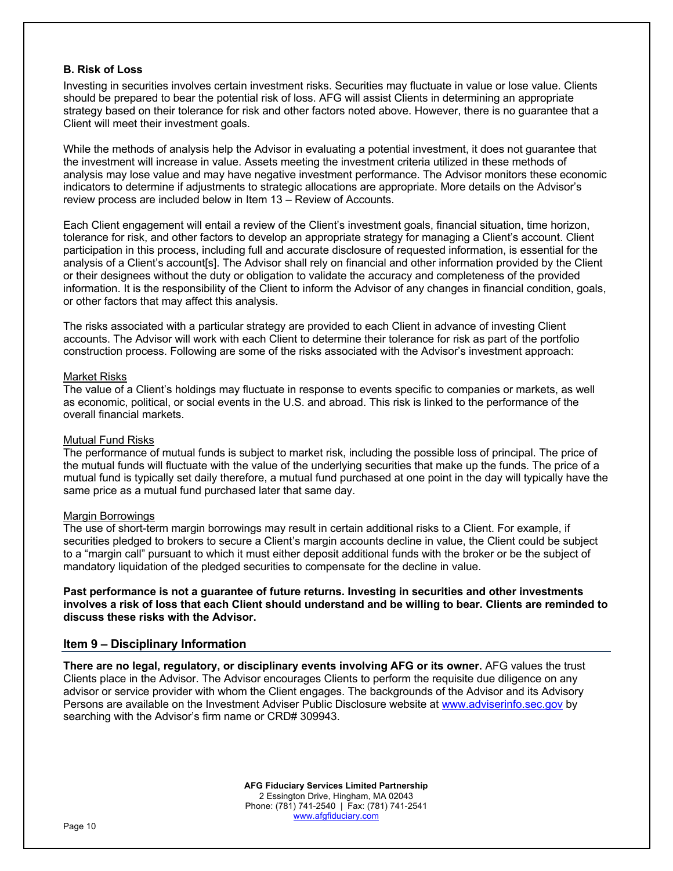# **B. Risk of Loss**

Investing in securities involves certain investment risks. Securities may fluctuate in value or lose value. Clients should be prepared to bear the potential risk of loss. AFG will assist Clients in determining an appropriate strategy based on their tolerance for risk and other factors noted above. However, there is no guarantee that a Client will meet their investment goals.

While the methods of analysis help the Advisor in evaluating a potential investment, it does not guarantee that the investment will increase in value. Assets meeting the investment criteria utilized in these methods of analysis may lose value and may have negative investment performance. The Advisor monitors these economic indicators to determine if adjustments to strategic allocations are appropriate. More details on the Advisor's review process are included below in Item 13 – Review of Accounts.

Each Client engagement will entail a review of the Client's investment goals, financial situation, time horizon, tolerance for risk, and other factors to develop an appropriate strategy for managing a Client's account. Client participation in this process, including full and accurate disclosure of requested information, is essential for the analysis of a Client's account[s]. The Advisor shall rely on financial and other information provided by the Client or their designees without the duty or obligation to validate the accuracy and completeness of the provided information. It is the responsibility of the Client to inform the Advisor of any changes in financial condition, goals, or other factors that may affect this analysis.

The risks associated with a particular strategy are provided to each Client in advance of investing Client accounts. The Advisor will work with each Client to determine their tolerance for risk as part of the portfolio construction process. Following are some of the risks associated with the Advisor's investment approach:

#### Market Risks

The value of a Client's holdings may fluctuate in response to events specific to companies or markets, as well as economic, political, or social events in the U.S. and abroad. This risk is linked to the performance of the overall financial markets.

#### Mutual Fund Risks

The performance of mutual funds is subject to market risk, including the possible loss of principal. The price of the mutual funds will fluctuate with the value of the underlying securities that make up the funds. The price of a mutual fund is typically set daily therefore, a mutual fund purchased at one point in the day will typically have the same price as a mutual fund purchased later that same day.

#### Margin Borrowings

The use of short-term margin borrowings may result in certain additional risks to a Client. For example, if securities pledged to brokers to secure a Client's margin accounts decline in value, the Client could be subject to a "margin call" pursuant to which it must either deposit additional funds with the broker or be the subject of mandatory liquidation of the pledged securities to compensate for the decline in value.

**Past performance is not a guarantee of future returns. Investing in securities and other investments involves a risk of loss that each Client should understand and be willing to bear. Clients are reminded to discuss these risks with the Advisor.** 

# **Item 9 – Disciplinary Information**

**There are no legal, regulatory, or disciplinary events involving AFG or its owner.** AFG values the trust Clients place in the Advisor. The Advisor encourages Clients to perform the requisite due diligence on any advisor or service provider with whom the Client engages. The backgrounds of the Advisor and its Advisory Persons are available on the Investment Adviser Public Disclosure website at www.adviserinfo.sec.gov by searching with the Advisor's firm name or CRD# 309943.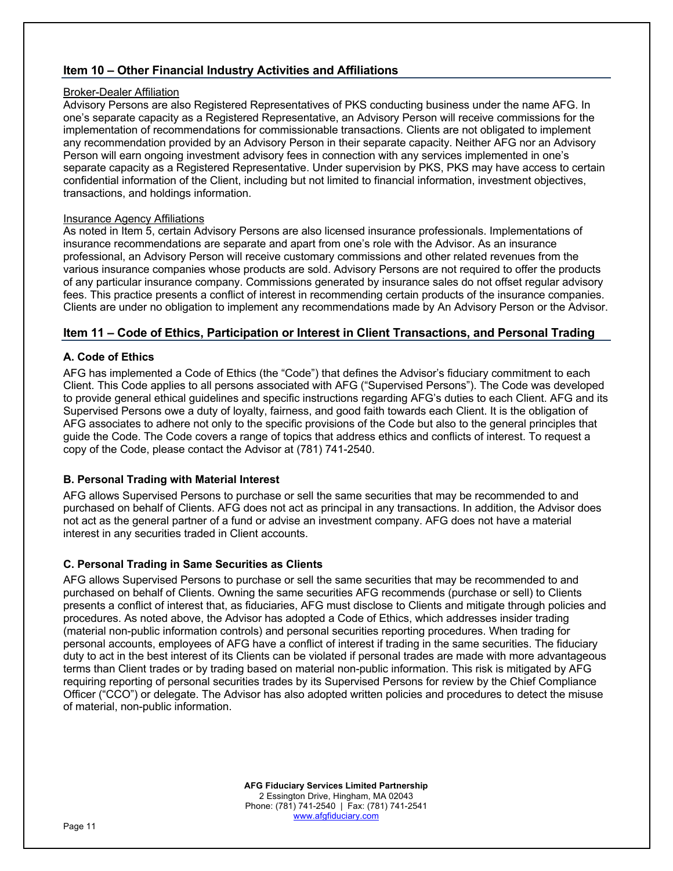# **Item 10 – Other Financial Industry Activities and Affiliations**

# Broker-Dealer Affiliation

Advisory Persons are also Registered Representatives of PKS conducting business under the name AFG. In one's separate capacity as a Registered Representative, an Advisory Person will receive commissions for the implementation of recommendations for commissionable transactions. Clients are not obligated to implement any recommendation provided by an Advisory Person in their separate capacity. Neither AFG nor an Advisory Person will earn ongoing investment advisory fees in connection with any services implemented in one's separate capacity as a Registered Representative. Under supervision by PKS, PKS may have access to certain confidential information of the Client, including but not limited to financial information, investment objectives, transactions, and holdings information.

# **Insurance Agency Affiliations**

As noted in Item 5, certain Advisory Persons are also licensed insurance professionals. Implementations of insurance recommendations are separate and apart from one's role with the Advisor. As an insurance professional, an Advisory Person will receive customary commissions and other related revenues from the various insurance companies whose products are sold. Advisory Persons are not required to offer the products of any particular insurance company. Commissions generated by insurance sales do not offset regular advisory fees. This practice presents a conflict of interest in recommending certain products of the insurance companies. Clients are under no obligation to implement any recommendations made by An Advisory Person or the Advisor.

# **Item 11 – Code of Ethics, Participation or Interest in Client Transactions, and Personal Trading**

# **A. Code of Ethics**

AFG has implemented a Code of Ethics (the "Code") that defines the Advisor's fiduciary commitment to each Client. This Code applies to all persons associated with AFG ("Supervised Persons"). The Code was developed to provide general ethical guidelines and specific instructions regarding AFG's duties to each Client. AFG and its Supervised Persons owe a duty of loyalty, fairness, and good faith towards each Client. It is the obligation of AFG associates to adhere not only to the specific provisions of the Code but also to the general principles that guide the Code. The Code covers a range of topics that address ethics and conflicts of interest. To request a copy of the Code, please contact the Advisor at (781) 741-2540.

# **B. Personal Trading with Material Interest**

AFG allows Supervised Persons to purchase or sell the same securities that may be recommended to and purchased on behalf of Clients. AFG does not act as principal in any transactions. In addition, the Advisor does not act as the general partner of a fund or advise an investment company. AFG does not have a material interest in any securities traded in Client accounts.

# **C. Personal Trading in Same Securities as Clients**

AFG allows Supervised Persons to purchase or sell the same securities that may be recommended to and purchased on behalf of Clients. Owning the same securities AFG recommends (purchase or sell) to Clients presents a conflict of interest that, as fiduciaries, AFG must disclose to Clients and mitigate through policies and procedures. As noted above, the Advisor has adopted a Code of Ethics, which addresses insider trading (material non-public information controls) and personal securities reporting procedures. When trading for personal accounts, employees of AFG have a conflict of interest if trading in the same securities. The fiduciary duty to act in the best interest of its Clients can be violated if personal trades are made with more advantageous terms than Client trades or by trading based on material non-public information. This risk is mitigated by AFG requiring reporting of personal securities trades by its Supervised Persons for review by the Chief Compliance Officer ("CCO") or delegate. The Advisor has also adopted written policies and procedures to detect the misuse of material, non-public information.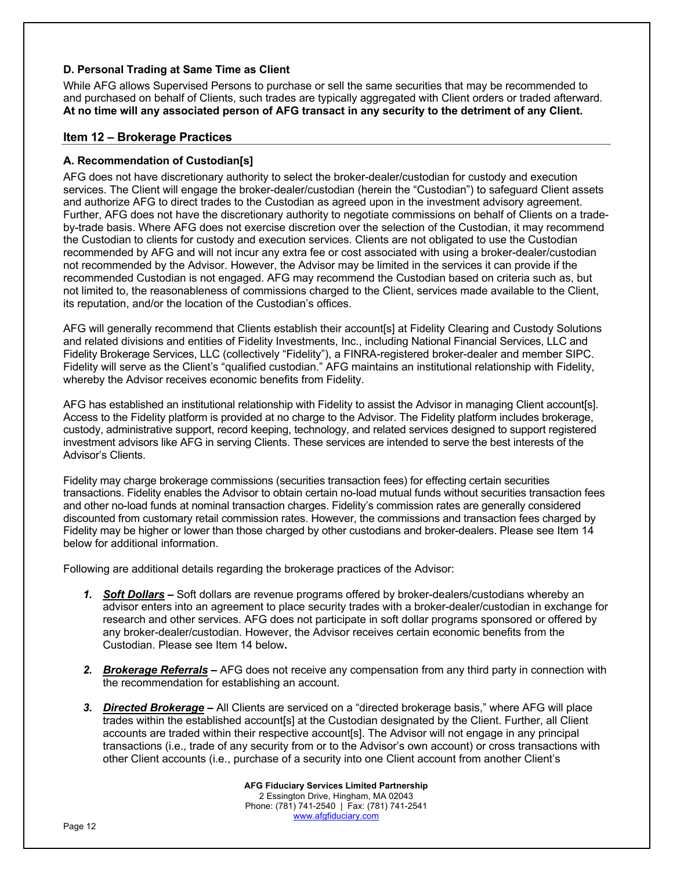# **D. Personal Trading at Same Time as Client**

While AFG allows Supervised Persons to purchase or sell the same securities that may be recommended to and purchased on behalf of Clients, such trades are typically aggregated with Client orders or traded afterward. **At no time will any associated person of AFG transact in any security to the detriment of any Client.** 

# **Item 12 – Brokerage Practices**

# **A. Recommendation of Custodian[s]**

AFG does not have discretionary authority to select the broker-dealer/custodian for custody and execution services. The Client will engage the broker-dealer/custodian (herein the "Custodian") to safeguard Client assets and authorize AFG to direct trades to the Custodian as agreed upon in the investment advisory agreement. Further, AFG does not have the discretionary authority to negotiate commissions on behalf of Clients on a tradeby-trade basis. Where AFG does not exercise discretion over the selection of the Custodian, it may recommend the Custodian to clients for custody and execution services. Clients are not obligated to use the Custodian recommended by AFG and will not incur any extra fee or cost associated with using a broker-dealer/custodian not recommended by the Advisor. However, the Advisor may be limited in the services it can provide if the recommended Custodian is not engaged. AFG may recommend the Custodian based on criteria such as, but not limited to, the reasonableness of commissions charged to the Client, services made available to the Client, its reputation, and/or the location of the Custodian's offices.

AFG will generally recommend that Clients establish their account[s] at Fidelity Clearing and Custody Solutions and related divisions and entities of Fidelity Investments, Inc., including National Financial Services, LLC and Fidelity Brokerage Services, LLC (collectively "Fidelity"), a FINRA-registered broker-dealer and member SIPC. Fidelity will serve as the Client's "qualified custodian." AFG maintains an institutional relationship with Fidelity, whereby the Advisor receives economic benefits from Fidelity.

AFG has established an institutional relationship with Fidelity to assist the Advisor in managing Client account[s]. Access to the Fidelity platform is provided at no charge to the Advisor. The Fidelity platform includes brokerage, custody, administrative support, record keeping, technology, and related services designed to support registered investment advisors like AFG in serving Clients. These services are intended to serve the best interests of the Advisor's Clients.

Fidelity may charge brokerage commissions (securities transaction fees) for effecting certain securities transactions. Fidelity enables the Advisor to obtain certain no-load mutual funds without securities transaction fees and other no-load funds at nominal transaction charges. Fidelity's commission rates are generally considered discounted from customary retail commission rates. However, the commissions and transaction fees charged by Fidelity may be higher or lower than those charged by other custodians and broker-dealers. Please see Item 14 below for additional information.

Following are additional details regarding the brokerage practices of the Advisor:

- *1. Soft Dollars –* Soft dollars are revenue programs offered by broker-dealers/custodians whereby an advisor enters into an agreement to place security trades with a broker-dealer/custodian in exchange for research and other services. AFG does not participate in soft dollar programs sponsored or offered by any broker-dealer/custodian. However, the Advisor receives certain economic benefits from the Custodian. Please see Item 14 below**.**
- *2. Brokerage Referrals –* AFG does not receive any compensation from any third party in connection with the recommendation for establishing an account.
- *3. Directed Brokerage –* All Clients are serviced on a "directed brokerage basis," where AFG will place trades within the established account[s] at the Custodian designated by the Client. Further, all Client accounts are traded within their respective account[s]. The Advisor will not engage in any principal transactions (i.e., trade of any security from or to the Advisor's own account) or cross transactions with other Client accounts (i.e., purchase of a security into one Client account from another Client's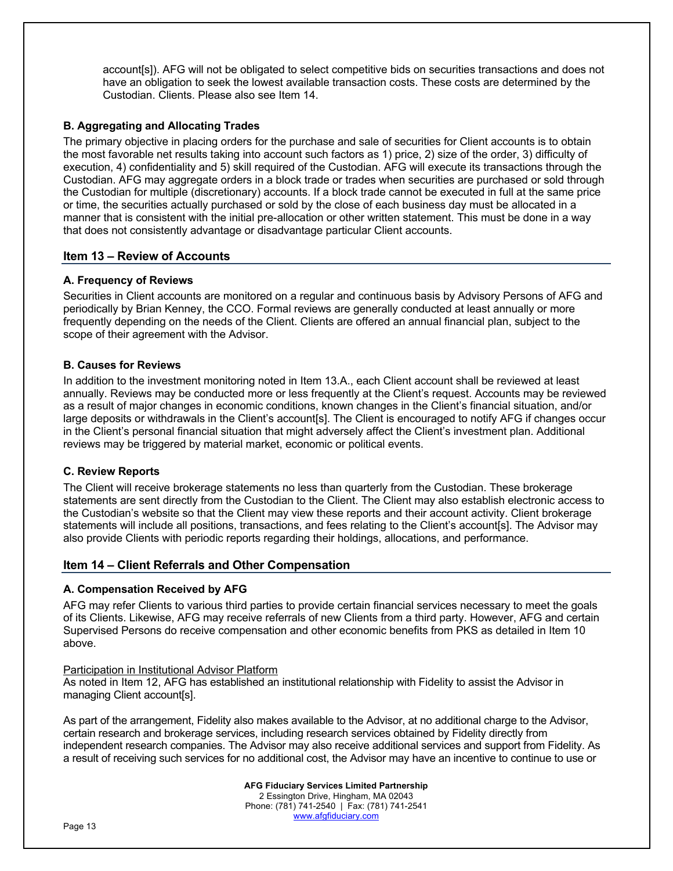account[s]). AFG will not be obligated to select competitive bids on securities transactions and does not have an obligation to seek the lowest available transaction costs. These costs are determined by the Custodian. Clients. Please also see Item 14.

# **B. Aggregating and Allocating Trades**

The primary objective in placing orders for the purchase and sale of securities for Client accounts is to obtain the most favorable net results taking into account such factors as 1) price, 2) size of the order, 3) difficulty of execution, 4) confidentiality and 5) skill required of the Custodian. AFG will execute its transactions through the Custodian. AFG may aggregate orders in a block trade or trades when securities are purchased or sold through the Custodian for multiple (discretionary) accounts. If a block trade cannot be executed in full at the same price or time, the securities actually purchased or sold by the close of each business day must be allocated in a manner that is consistent with the initial pre-allocation or other written statement. This must be done in a way that does not consistently advantage or disadvantage particular Client accounts.

# **Item 13 – Review of Accounts**

# **A. Frequency of Reviews**

Securities in Client accounts are monitored on a regular and continuous basis by Advisory Persons of AFG and periodically by Brian Kenney, the CCO. Formal reviews are generally conducted at least annually or more frequently depending on the needs of the Client. Clients are offered an annual financial plan, subject to the scope of their agreement with the Advisor.

# **B. Causes for Reviews**

In addition to the investment monitoring noted in Item 13.A., each Client account shall be reviewed at least annually. Reviews may be conducted more or less frequently at the Client's request. Accounts may be reviewed as a result of major changes in economic conditions, known changes in the Client's financial situation, and/or large deposits or withdrawals in the Client's account[s]. The Client is encouraged to notify AFG if changes occur in the Client's personal financial situation that might adversely affect the Client's investment plan. Additional reviews may be triggered by material market, economic or political events.

# **C. Review Reports**

The Client will receive brokerage statements no less than quarterly from the Custodian. These brokerage statements are sent directly from the Custodian to the Client. The Client may also establish electronic access to the Custodian's website so that the Client may view these reports and their account activity. Client brokerage statements will include all positions, transactions, and fees relating to the Client's account[s]. The Advisor may also provide Clients with periodic reports regarding their holdings, allocations, and performance.

# **Item 14 – Client Referrals and Other Compensation**

# **A. Compensation Received by AFG**

AFG may refer Clients to various third parties to provide certain financial services necessary to meet the goals of its Clients. Likewise, AFG may receive referrals of new Clients from a third party. However, AFG and certain Supervised Persons do receive compensation and other economic benefits from PKS as detailed in Item 10 above.

# Participation in Institutional Advisor Platform

As noted in Item 12, AFG has established an institutional relationship with Fidelity to assist the Advisor in managing Client account[s].

As part of the arrangement, Fidelity also makes available to the Advisor, at no additional charge to the Advisor, certain research and brokerage services, including research services obtained by Fidelity directly from independent research companies. The Advisor may also receive additional services and support from Fidelity. As a result of receiving such services for no additional cost, the Advisor may have an incentive to continue to use or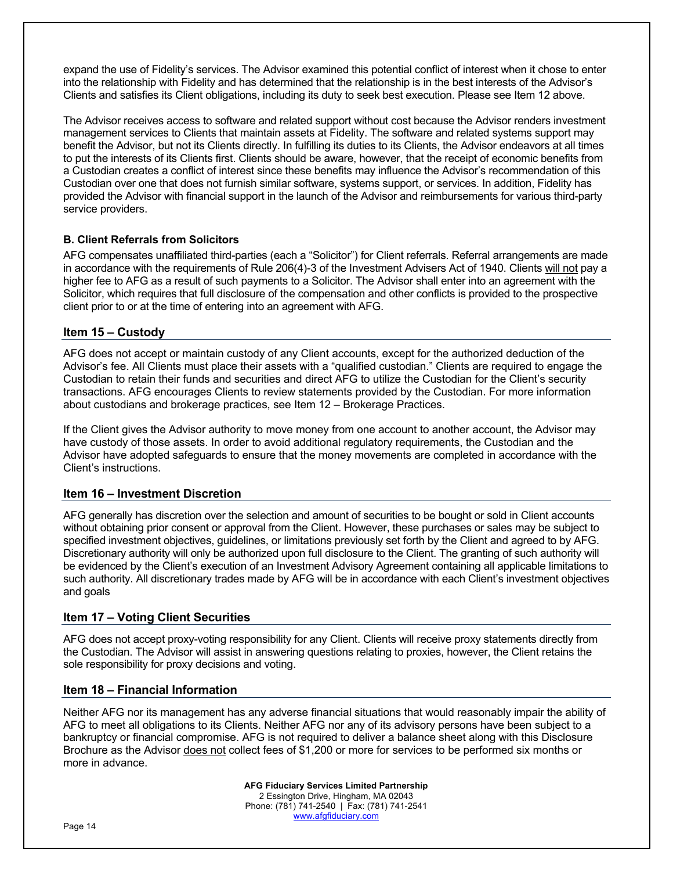expand the use of Fidelity's services. The Advisor examined this potential conflict of interest when it chose to enter into the relationship with Fidelity and has determined that the relationship is in the best interests of the Advisor's Clients and satisfies its Client obligations, including its duty to seek best execution. Please see Item 12 above.

The Advisor receives access to software and related support without cost because the Advisor renders investment management services to Clients that maintain assets at Fidelity. The software and related systems support may benefit the Advisor, but not its Clients directly. In fulfilling its duties to its Clients, the Advisor endeavors at all times to put the interests of its Clients first. Clients should be aware, however, that the receipt of economic benefits from a Custodian creates a conflict of interest since these benefits may influence the Advisor's recommendation of this Custodian over one that does not furnish similar software, systems support, or services. In addition, Fidelity has provided the Advisor with financial support in the launch of the Advisor and reimbursements for various third-party service providers.

# **B. Client Referrals from Solicitors**

AFG compensates unaffiliated third-parties (each a "Solicitor") for Client referrals. Referral arrangements are made in accordance with the requirements of Rule 206(4)-3 of the Investment Advisers Act of 1940. Clients will not pay a higher fee to AFG as a result of such payments to a Solicitor. The Advisor shall enter into an agreement with the Solicitor, which requires that full disclosure of the compensation and other conflicts is provided to the prospective client prior to or at the time of entering into an agreement with AFG.

# **Item 15 – Custody**

AFG does not accept or maintain custody of any Client accounts, except for the authorized deduction of the Advisor's fee. All Clients must place their assets with a "qualified custodian." Clients are required to engage the Custodian to retain their funds and securities and direct AFG to utilize the Custodian for the Client's security transactions. AFG encourages Clients to review statements provided by the Custodian. For more information about custodians and brokerage practices, see Item 12 – Brokerage Practices.

If the Client gives the Advisor authority to move money from one account to another account, the Advisor may have custody of those assets. In order to avoid additional regulatory requirements, the Custodian and the Advisor have adopted safeguards to ensure that the money movements are completed in accordance with the Client's instructions.

# **Item 16 – Investment Discretion**

AFG generally has discretion over the selection and amount of securities to be bought or sold in Client accounts without obtaining prior consent or approval from the Client. However, these purchases or sales may be subject to specified investment objectives, guidelines, or limitations previously set forth by the Client and agreed to by AFG. Discretionary authority will only be authorized upon full disclosure to the Client. The granting of such authority will be evidenced by the Client's execution of an Investment Advisory Agreement containing all applicable limitations to such authority. All discretionary trades made by AFG will be in accordance with each Client's investment objectives and goals

# **Item 17 – Voting Client Securities**

AFG does not accept proxy-voting responsibility for any Client. Clients will receive proxy statements directly from the Custodian. The Advisor will assist in answering questions relating to proxies, however, the Client retains the sole responsibility for proxy decisions and voting.

# **Item 18 – Financial Information**

Neither AFG nor its management has any adverse financial situations that would reasonably impair the ability of AFG to meet all obligations to its Clients. Neither AFG nor any of its advisory persons have been subject to a bankruptcy or financial compromise. AFG is not required to deliver a balance sheet along with this Disclosure Brochure as the Advisor does not collect fees of \$1,200 or more for services to be performed six months or more in advance.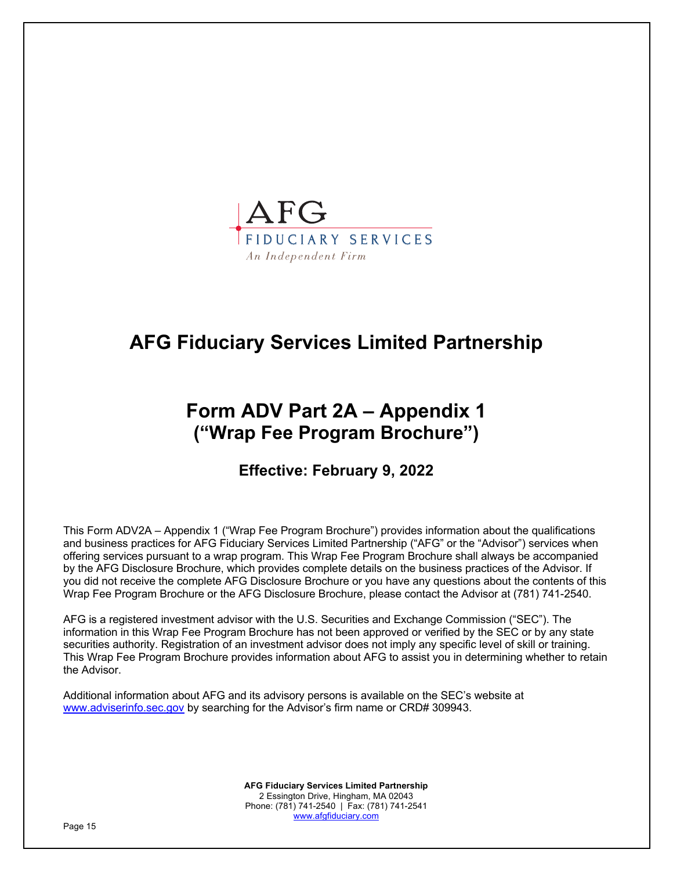

# **AFG Fiduciary Services Limited Partnership**

# **Form ADV Part 2A – Appendix 1 ("Wrap Fee Program Brochure")**

# **Effective: February 9, 2022**

This Form ADV2A – Appendix 1 ("Wrap Fee Program Brochure") provides information about the qualifications and business practices for AFG Fiduciary Services Limited Partnership ("AFG" or the "Advisor") services when offering services pursuant to a wrap program. This Wrap Fee Program Brochure shall always be accompanied by the AFG Disclosure Brochure, which provides complete details on the business practices of the Advisor. If you did not receive the complete AFG Disclosure Brochure or you have any questions about the contents of this Wrap Fee Program Brochure or the AFG Disclosure Brochure, please contact the Advisor at (781) 741-2540.

AFG is a registered investment advisor with the U.S. Securities and Exchange Commission ("SEC"). The information in this Wrap Fee Program Brochure has not been approved or verified by the SEC or by any state securities authority. Registration of an investment advisor does not imply any specific level of skill or training. This Wrap Fee Program Brochure provides information about AFG to assist you in determining whether to retain the Advisor.

Additional information about AFG and its advisory persons is available on the SEC's website at www.adviserinfo.sec.gov by searching for the Advisor's firm name or CRD# 309943.

> **AFG Fiduciary Services Limited Partnership** 2 Essington Drive, Hingham, MA 02043 Phone: (781) 741-2540 | Fax: (781) 741-2541 www.afgfiduciary.com

Page 15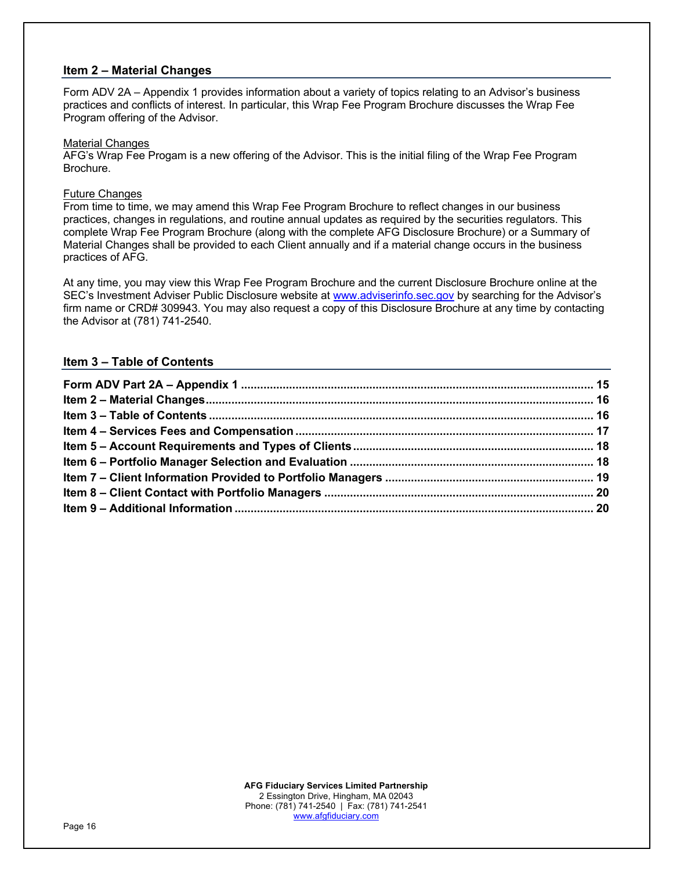# **Item 2 – Material Changes**

Form ADV 2A – Appendix 1 provides information about a variety of topics relating to an Advisor's business practices and conflicts of interest. In particular, this Wrap Fee Program Brochure discusses the Wrap Fee Program offering of the Advisor.

#### Material Changes

AFG's Wrap Fee Progam is a new offering of the Advisor. This is the initial filing of the Wrap Fee Program Brochure.

### Future Changes

From time to time, we may amend this Wrap Fee Program Brochure to reflect changes in our business practices, changes in regulations, and routine annual updates as required by the securities regulators. This complete Wrap Fee Program Brochure (along with the complete AFG Disclosure Brochure) or a Summary of Material Changes shall be provided to each Client annually and if a material change occurs in the business practices of AFG.

At any time, you may view this Wrap Fee Program Brochure and the current Disclosure Brochure online at the SEC's Investment Adviser Public Disclosure website at www.adviserinfo.sec.gov by searching for the Advisor's firm name or CRD# 309943. You may also request a copy of this Disclosure Brochure at any time by contacting the Advisor at (781) 741-2540.

# **Item 3 – Table of Contents**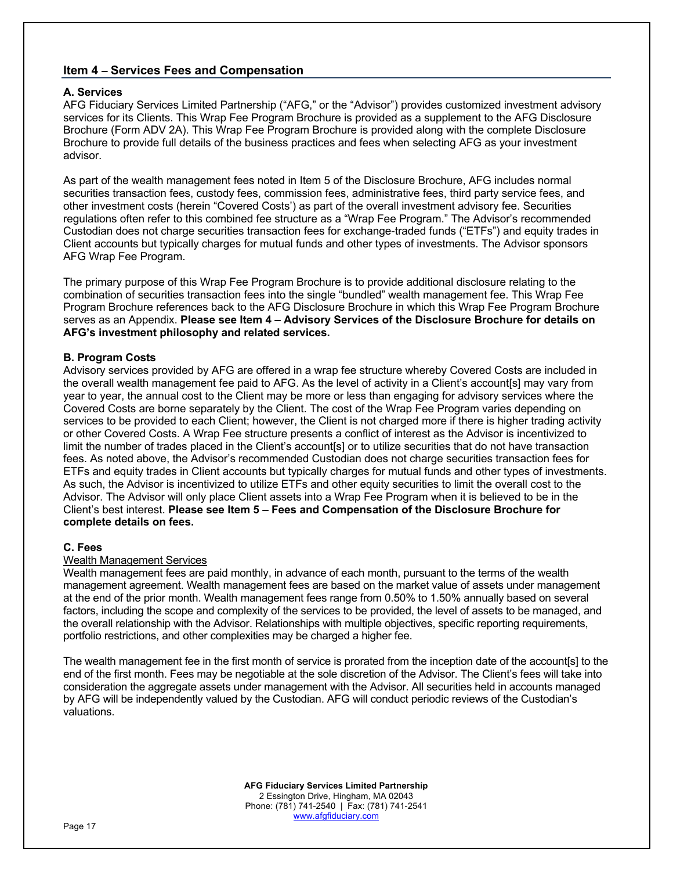# **Item 4 – Services Fees and Compensation**

# **A. Services**

AFG Fiduciary Services Limited Partnership ("AFG," or the "Advisor") provides customized investment advisory services for its Clients. This Wrap Fee Program Brochure is provided as a supplement to the AFG Disclosure Brochure (Form ADV 2A). This Wrap Fee Program Brochure is provided along with the complete Disclosure Brochure to provide full details of the business practices and fees when selecting AFG as your investment advisor.

As part of the wealth management fees noted in Item 5 of the Disclosure Brochure, AFG includes normal securities transaction fees, custody fees, commission fees, administrative fees, third party service fees, and other investment costs (herein "Covered Costs') as part of the overall investment advisory fee. Securities regulations often refer to this combined fee structure as a "Wrap Fee Program." The Advisor's recommended Custodian does not charge securities transaction fees for exchange-traded funds ("ETFs") and equity trades in Client accounts but typically charges for mutual funds and other types of investments. The Advisor sponsors AFG Wrap Fee Program.

The primary purpose of this Wrap Fee Program Brochure is to provide additional disclosure relating to the combination of securities transaction fees into the single "bundled" wealth management fee. This Wrap Fee Program Brochure references back to the AFG Disclosure Brochure in which this Wrap Fee Program Brochure serves as an Appendix. **Please see Item 4 – Advisory Services of the Disclosure Brochure for details on AFG's investment philosophy and related services.**

# **B. Program Costs**

Advisory services provided by AFG are offered in a wrap fee structure whereby Covered Costs are included in the overall wealth management fee paid to AFG. As the level of activity in a Client's account[s] may vary from year to year, the annual cost to the Client may be more or less than engaging for advisory services where the Covered Costs are borne separately by the Client. The cost of the Wrap Fee Program varies depending on services to be provided to each Client; however, the Client is not charged more if there is higher trading activity or other Covered Costs. A Wrap Fee structure presents a conflict of interest as the Advisor is incentivized to limit the number of trades placed in the Client's account[s] or to utilize securities that do not have transaction fees. As noted above, the Advisor's recommended Custodian does not charge securities transaction fees for ETFs and equity trades in Client accounts but typically charges for mutual funds and other types of investments. As such, the Advisor is incentivized to utilize ETFs and other equity securities to limit the overall cost to the Advisor. The Advisor will only place Client assets into a Wrap Fee Program when it is believed to be in the Client's best interest. **Please see Item 5 – Fees and Compensation of the Disclosure Brochure for complete details on fees.**

#### **C. Fees**

#### Wealth Management Services

Wealth management fees are paid monthly, in advance of each month, pursuant to the terms of the wealth management agreement. Wealth management fees are based on the market value of assets under management at the end of the prior month. Wealth management fees range from 0.50% to 1.50% annually based on several factors, including the scope and complexity of the services to be provided, the level of assets to be managed, and the overall relationship with the Advisor. Relationships with multiple objectives, specific reporting requirements, portfolio restrictions, and other complexities may be charged a higher fee.

The wealth management fee in the first month of service is prorated from the inception date of the account[s] to the end of the first month. Fees may be negotiable at the sole discretion of the Advisor. The Client's fees will take into consideration the aggregate assets under management with the Advisor. All securities held in accounts managed by AFG will be independently valued by the Custodian. AFG will conduct periodic reviews of the Custodian's valuations.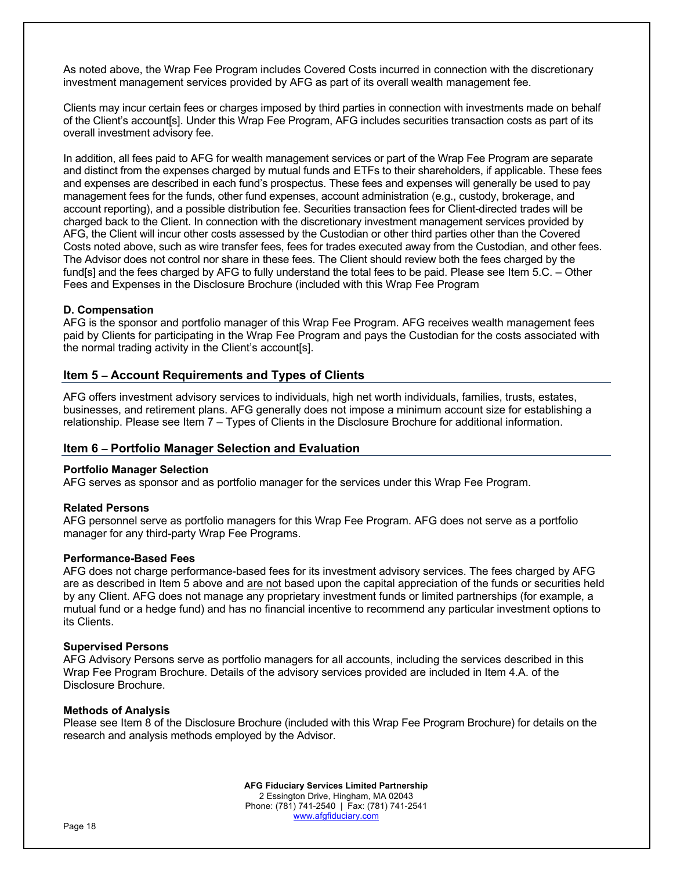As noted above, the Wrap Fee Program includes Covered Costs incurred in connection with the discretionary investment management services provided by AFG as part of its overall wealth management fee.

Clients may incur certain fees or charges imposed by third parties in connection with investments made on behalf of the Client's account[s]. Under this Wrap Fee Program, AFG includes securities transaction costs as part of its overall investment advisory fee.

In addition, all fees paid to AFG for wealth management services or part of the Wrap Fee Program are separate and distinct from the expenses charged by mutual funds and ETFs to their shareholders, if applicable. These fees and expenses are described in each fund's prospectus. These fees and expenses will generally be used to pay management fees for the funds, other fund expenses, account administration (e.g., custody, brokerage, and account reporting), and a possible distribution fee. Securities transaction fees for Client-directed trades will be charged back to the Client. In connection with the discretionary investment management services provided by AFG, the Client will incur other costs assessed by the Custodian or other third parties other than the Covered Costs noted above, such as wire transfer fees, fees for trades executed away from the Custodian, and other fees. The Advisor does not control nor share in these fees. The Client should review both the fees charged by the fund[s] and the fees charged by AFG to fully understand the total fees to be paid. Please see Item 5.C. – Other Fees and Expenses in the Disclosure Brochure (included with this Wrap Fee Program

# **D. Compensation**

AFG is the sponsor and portfolio manager of this Wrap Fee Program. AFG receives wealth management fees paid by Clients for participating in the Wrap Fee Program and pays the Custodian for the costs associated with the normal trading activity in the Client's account[s].

# **Item 5 – Account Requirements and Types of Clients**

AFG offers investment advisory services to individuals, high net worth individuals, families, trusts, estates, businesses, and retirement plans. AFG generally does not impose a minimum account size for establishing a relationship. Please see Item 7 – Types of Clients in the Disclosure Brochure for additional information.

# **Item 6 – Portfolio Manager Selection and Evaluation**

#### **Portfolio Manager Selection**

AFG serves as sponsor and as portfolio manager for the services under this Wrap Fee Program.

#### **Related Persons**

AFG personnel serve as portfolio managers for this Wrap Fee Program. AFG does not serve as a portfolio manager for any third-party Wrap Fee Programs.

#### **Performance-Based Fees**

AFG does not charge performance-based fees for its investment advisory services. The fees charged by AFG are as described in Item 5 above and are not based upon the capital appreciation of the funds or securities held by any Client. AFG does not manage any proprietary investment funds or limited partnerships (for example, a mutual fund or a hedge fund) and has no financial incentive to recommend any particular investment options to its Clients.

#### **Supervised Persons**

AFG Advisory Persons serve as portfolio managers for all accounts, including the services described in this Wrap Fee Program Brochure. Details of the advisory services provided are included in Item 4.A. of the Disclosure Brochure.

#### **Methods of Analysis**

Please see Item 8 of the Disclosure Brochure (included with this Wrap Fee Program Brochure) for details on the research and analysis methods employed by the Advisor.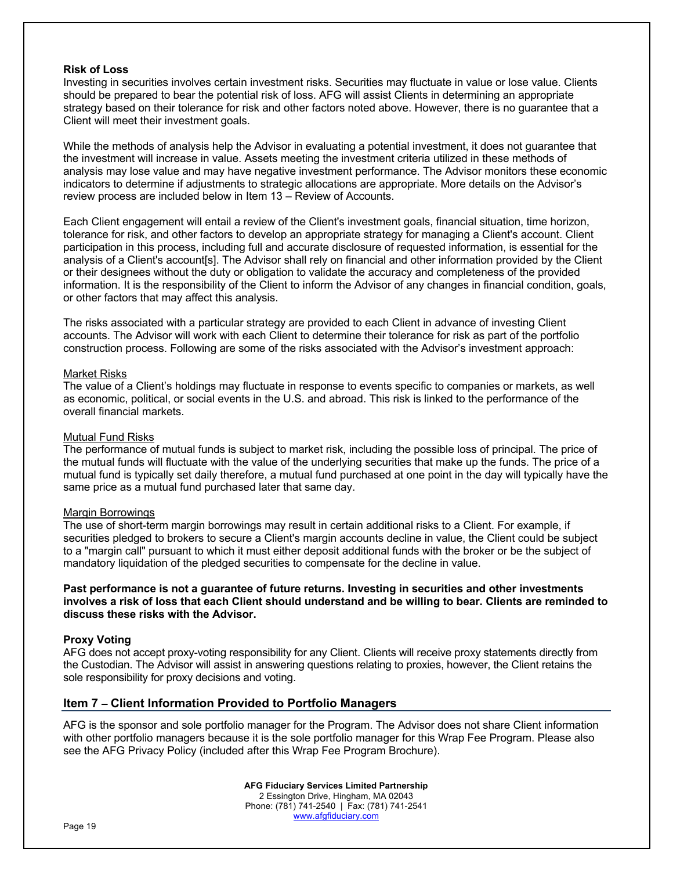#### **Risk of Loss**

Investing in securities involves certain investment risks. Securities may fluctuate in value or lose value. Clients should be prepared to bear the potential risk of loss. AFG will assist Clients in determining an appropriate strategy based on their tolerance for risk and other factors noted above. However, there is no guarantee that a Client will meet their investment goals.

While the methods of analysis help the Advisor in evaluating a potential investment, it does not guarantee that the investment will increase in value. Assets meeting the investment criteria utilized in these methods of analysis may lose value and may have negative investment performance. The Advisor monitors these economic indicators to determine if adjustments to strategic allocations are appropriate. More details on the Advisor's review process are included below in Item 13 – Review of Accounts.

Each Client engagement will entail a review of the Client's investment goals, financial situation, time horizon, tolerance for risk, and other factors to develop an appropriate strategy for managing a Client's account. Client participation in this process, including full and accurate disclosure of requested information, is essential for the analysis of a Client's account[s]. The Advisor shall rely on financial and other information provided by the Client or their designees without the duty or obligation to validate the accuracy and completeness of the provided information. It is the responsibility of the Client to inform the Advisor of any changes in financial condition, goals, or other factors that may affect this analysis.

The risks associated with a particular strategy are provided to each Client in advance of investing Client accounts. The Advisor will work with each Client to determine their tolerance for risk as part of the portfolio construction process. Following are some of the risks associated with the Advisor's investment approach:

#### Market Risks

The value of a Client's holdings may fluctuate in response to events specific to companies or markets, as well as economic, political, or social events in the U.S. and abroad. This risk is linked to the performance of the overall financial markets.

# Mutual Fund Risks

The performance of mutual funds is subject to market risk, including the possible loss of principal. The price of the mutual funds will fluctuate with the value of the underlying securities that make up the funds. The price of a mutual fund is typically set daily therefore, a mutual fund purchased at one point in the day will typically have the same price as a mutual fund purchased later that same day.

#### Margin Borrowings

The use of short-term margin borrowings may result in certain additional risks to a Client. For example, if securities pledged to brokers to secure a Client's margin accounts decline in value, the Client could be subject to a "margin call" pursuant to which it must either deposit additional funds with the broker or be the subject of mandatory liquidation of the pledged securities to compensate for the decline in value.

### **Past performance is not a guarantee of future returns. Investing in securities and other investments involves a risk of loss that each Client should understand and be willing to bear. Clients are reminded to discuss these risks with the Advisor.**

#### **Proxy Voting**

AFG does not accept proxy-voting responsibility for any Client. Clients will receive proxy statements directly from the Custodian. The Advisor will assist in answering questions relating to proxies, however, the Client retains the sole responsibility for proxy decisions and voting.

# **Item 7 – Client Information Provided to Portfolio Managers**

AFG is the sponsor and sole portfolio manager for the Program. The Advisor does not share Client information with other portfolio managers because it is the sole portfolio manager for this Wrap Fee Program. Please also see the AFG Privacy Policy (included after this Wrap Fee Program Brochure).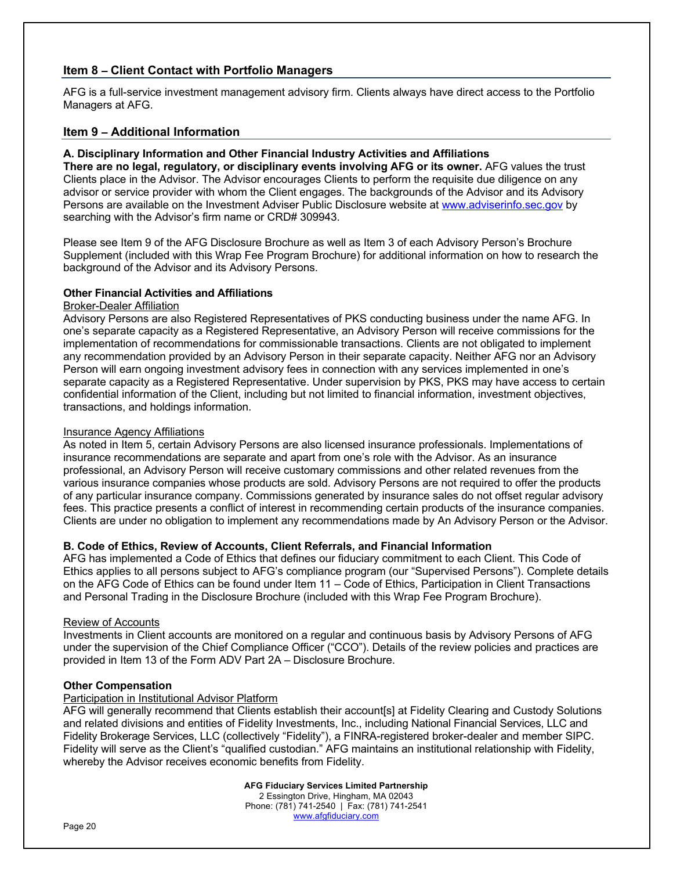# **Item 8 – Client Contact with Portfolio Managers**

AFG is a full-service investment management advisory firm. Clients always have direct access to the Portfolio Managers at AFG.

# **Item 9 – Additional Information**

# **A. Disciplinary Information and Other Financial Industry Activities and Affiliations**

**There are no legal, regulatory, or disciplinary events involving AFG or its owner.** AFG values the trust Clients place in the Advisor. The Advisor encourages Clients to perform the requisite due diligence on any advisor or service provider with whom the Client engages. The backgrounds of the Advisor and its Advisory Persons are available on the Investment Adviser Public Disclosure website at www.adviserinfo.sec.gov by searching with the Advisor's firm name or CRD# 309943.

Please see Item 9 of the AFG Disclosure Brochure as well as Item 3 of each Advisory Person's Brochure Supplement (included with this Wrap Fee Program Brochure) for additional information on how to research the background of the Advisor and its Advisory Persons.

# **Other Financial Activities and Affiliations**

# Broker-Dealer Affiliation

Advisory Persons are also Registered Representatives of PKS conducting business under the name AFG. In one's separate capacity as a Registered Representative, an Advisory Person will receive commissions for the implementation of recommendations for commissionable transactions. Clients are not obligated to implement any recommendation provided by an Advisory Person in their separate capacity. Neither AFG nor an Advisory Person will earn ongoing investment advisory fees in connection with any services implemented in one's separate capacity as a Registered Representative. Under supervision by PKS, PKS may have access to certain confidential information of the Client, including but not limited to financial information, investment objectives, transactions, and holdings information.

# Insurance Agency Affiliations

As noted in Item 5, certain Advisory Persons are also licensed insurance professionals. Implementations of insurance recommendations are separate and apart from one's role with the Advisor. As an insurance professional, an Advisory Person will receive customary commissions and other related revenues from the various insurance companies whose products are sold. Advisory Persons are not required to offer the products of any particular insurance company. Commissions generated by insurance sales do not offset regular advisory fees. This practice presents a conflict of interest in recommending certain products of the insurance companies. Clients are under no obligation to implement any recommendations made by An Advisory Person or the Advisor.

# **B. Code of Ethics, Review of Accounts, Client Referrals, and Financial Information**

AFG has implemented a Code of Ethics that defines our fiduciary commitment to each Client. This Code of Ethics applies to all persons subject to AFG's compliance program (our "Supervised Persons"). Complete details on the AFG Code of Ethics can be found under Item 11 – Code of Ethics, Participation in Client Transactions and Personal Trading in the Disclosure Brochure (included with this Wrap Fee Program Brochure).

# Review of Accounts

Investments in Client accounts are monitored on a regular and continuous basis by Advisory Persons of AFG under the supervision of the Chief Compliance Officer ("CCO"). Details of the review policies and practices are provided in Item 13 of the Form ADV Part 2A – Disclosure Brochure.

# **Other Compensation**

#### Participation in Institutional Advisor Platform

AFG will generally recommend that Clients establish their account[s] at Fidelity Clearing and Custody Solutions and related divisions and entities of Fidelity Investments, Inc., including National Financial Services, LLC and Fidelity Brokerage Services, LLC (collectively "Fidelity"), a FINRA-registered broker-dealer and member SIPC. Fidelity will serve as the Client's "qualified custodian." AFG maintains an institutional relationship with Fidelity, whereby the Advisor receives economic benefits from Fidelity.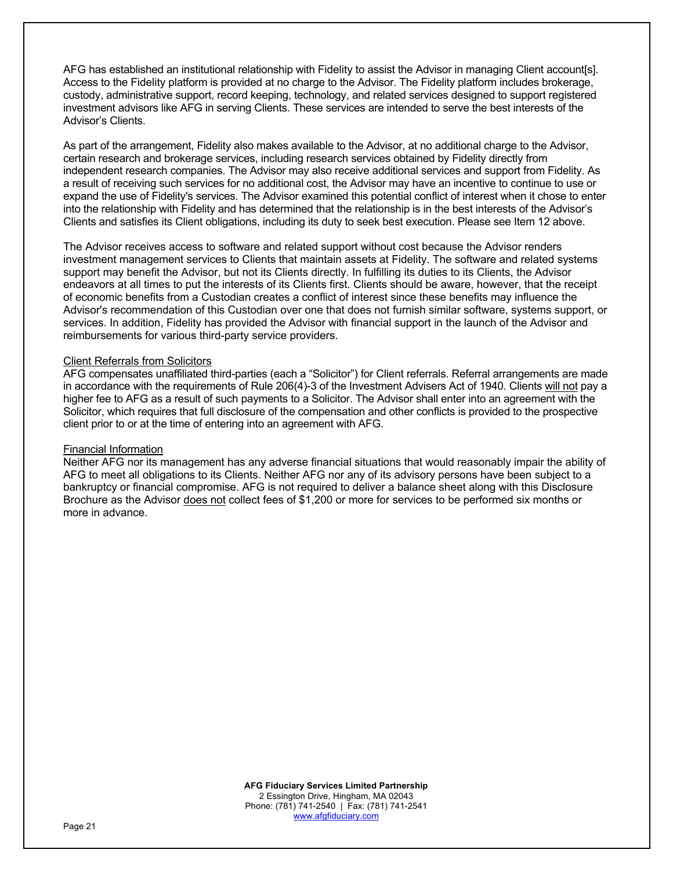AFG has established an institutional relationship with Fidelity to assist the Advisor in managing Client account[s]. Access to the Fidelity platform is provided at no charge to the Advisor. The Fidelity platform includes brokerage, custody, administrative support, record keeping, technology, and related services designed to support registered investment advisors like AFG in serving Clients. These services are intended to serve the best interests of the Advisor's Clients.

As part of the arrangement, Fidelity also makes available to the Advisor, at no additional charge to the Advisor, certain research and brokerage services, including research services obtained by Fidelity directly from independent research companies. The Advisor may also receive additional services and support from Fidelity. As a result of receiving such services for no additional cost, the Advisor may have an incentive to continue to use or expand the use of Fidelity's services. The Advisor examined this potential conflict of interest when it chose to enter into the relationship with Fidelity and has determined that the relationship is in the best interests of the Advisor's Clients and satisfies its Client obligations, including its duty to seek best execution. Please see Item 12 above.

The Advisor receives access to software and related support without cost because the Advisor renders investment management services to Clients that maintain assets at Fidelity. The software and related systems support may benefit the Advisor, but not its Clients directly. In fulfilling its duties to its Clients, the Advisor endeavors at all times to put the interests of its Clients first. Clients should be aware, however, that the receipt of economic benefits from a Custodian creates a conflict of interest since these benefits may influence the Advisor's recommendation of this Custodian over one that does not furnish similar software, systems support, or services. In addition, Fidelity has provided the Advisor with financial support in the launch of the Advisor and reimbursements for various third-party service providers.

# Client Referrals from Solicitors

AFG compensates unaffiliated third-parties (each a "Solicitor") for Client referrals. Referral arrangements are made in accordance with the requirements of Rule 206(4)-3 of the Investment Advisers Act of 1940. Clients will not pay a higher fee to AFG as a result of such payments to a Solicitor. The Advisor shall enter into an agreement with the Solicitor, which requires that full disclosure of the compensation and other conflicts is provided to the prospective client prior to or at the time of entering into an agreement with AFG.

#### Financial Information

Neither AFG nor its management has any adverse financial situations that would reasonably impair the ability of AFG to meet all obligations to its Clients. Neither AFG nor any of its advisory persons have been subject to a bankruptcy or financial compromise. AFG is not required to deliver a balance sheet along with this Disclosure Brochure as the Advisor does not collect fees of \$1,200 or more for services to be performed six months or more in advance.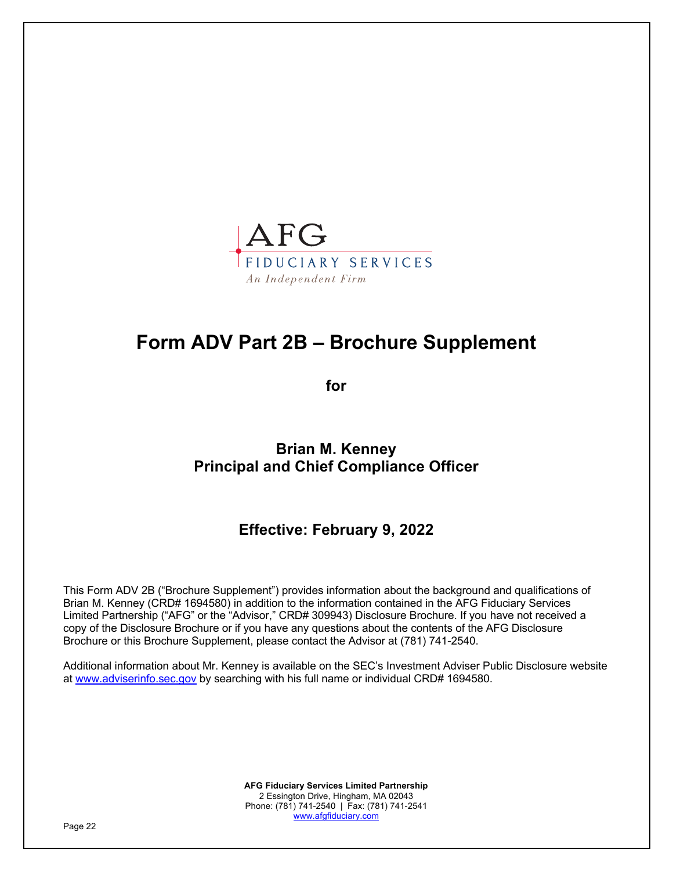

# **Form ADV Part 2B – Brochure Supplement**

**for**

**Brian M. Kenney Principal and Chief Compliance Officer**

**Effective: February 9, 2022**

This Form ADV 2B ("Brochure Supplement") provides information about the background and qualifications of Brian M. Kenney (CRD# 1694580) in addition to the information contained in the AFG Fiduciary Services Limited Partnership ("AFG" or the "Advisor," CRD# 309943) Disclosure Brochure. If you have not received a copy of the Disclosure Brochure or if you have any questions about the contents of the AFG Disclosure Brochure or this Brochure Supplement, please contact the Advisor at (781) 741-2540.

Additional information about Mr. Kenney is available on the SEC's Investment Adviser Public Disclosure website at www.adviserinfo.sec.gov by searching with his full name or individual CRD# 1694580.

> **AFG Fiduciary Services Limited Partnership** 2 Essington Drive, Hingham, MA 02043 Phone: (781) 741-2540 | Fax: (781) 741-2541 www.afgfiduciary.com

Page 22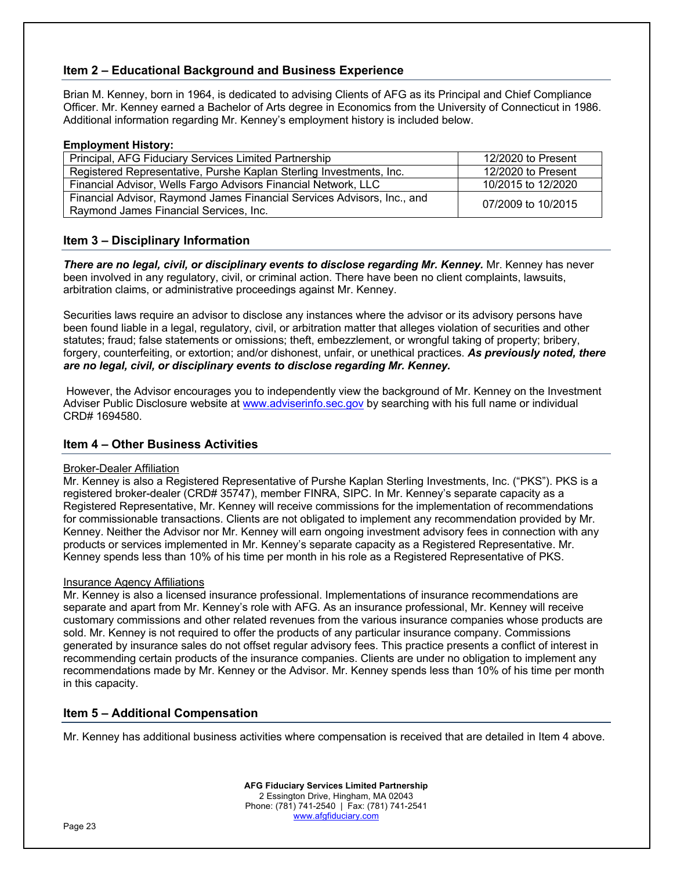# **Item 2 – Educational Background and Business Experience**

Brian M. Kenney, born in 1964, is dedicated to advising Clients of AFG as its Principal and Chief Compliance Officer. Mr. Kenney earned a Bachelor of Arts degree in Economics from the University of Connecticut in 1986. Additional information regarding Mr. Kenney's employment history is included below.

#### **Employment History:**

| Principal, AFG Fiduciary Services Limited Partnership                                                             | 12/2020 to Present |
|-------------------------------------------------------------------------------------------------------------------|--------------------|
| Registered Representative, Purshe Kaplan Sterling Investments, Inc.                                               | 12/2020 to Present |
| Financial Advisor, Wells Fargo Advisors Financial Network, LLC                                                    | 10/2015 to 12/2020 |
| Financial Advisor, Raymond James Financial Services Advisors, Inc., and<br>Raymond James Financial Services, Inc. | 07/2009 to 10/2015 |

# **Item 3 – Disciplinary Information**

*There are no legal, civil, or disciplinary events to disclose regarding Mr. Kenney.* Mr. Kenney has never been involved in any regulatory, civil, or criminal action. There have been no client complaints, lawsuits, arbitration claims, or administrative proceedings against Mr. Kenney.

Securities laws require an advisor to disclose any instances where the advisor or its advisory persons have been found liable in a legal, regulatory, civil, or arbitration matter that alleges violation of securities and other statutes; fraud; false statements or omissions; theft, embezzlement, or wrongful taking of property; bribery, forgery, counterfeiting, or extortion; and/or dishonest, unfair, or unethical practices. *As previously noted, there are no legal, civil, or disciplinary events to disclose regarding Mr. Kenney.*

However, the Advisor encourages you to independently view the background of Mr. Kenney on the Investment Adviser Public Disclosure website at www.adviserinfo.sec.gov by searching with his full name or individual CRD# 1694580.

# **Item 4 – Other Business Activities**

#### Broker-Dealer Affiliation

Mr. Kenney is also a Registered Representative of Purshe Kaplan Sterling Investments, Inc. ("PKS"). PKS is a registered broker-dealer (CRD# 35747), member FINRA, SIPC. In Mr. Kenney's separate capacity as a Registered Representative, Mr. Kenney will receive commissions for the implementation of recommendations for commissionable transactions. Clients are not obligated to implement any recommendation provided by Mr. Kenney. Neither the Advisor nor Mr. Kenney will earn ongoing investment advisory fees in connection with any products or services implemented in Mr. Kenney's separate capacity as a Registered Representative. Mr. Kenney spends less than 10% of his time per month in his role as a Registered Representative of PKS.

#### Insurance Agency Affiliations

Mr. Kenney is also a licensed insurance professional. Implementations of insurance recommendations are separate and apart from Mr. Kenney's role with AFG. As an insurance professional, Mr. Kenney will receive customary commissions and other related revenues from the various insurance companies whose products are sold. Mr. Kenney is not required to offer the products of any particular insurance company. Commissions generated by insurance sales do not offset regular advisory fees. This practice presents a conflict of interest in recommending certain products of the insurance companies. Clients are under no obligation to implement any recommendations made by Mr. Kenney or the Advisor. Mr. Kenney spends less than 10% of his time per month in this capacity.

# **Item 5 – Additional Compensation**

Mr. Kenney has additional business activities where compensation is received that are detailed in Item 4 above.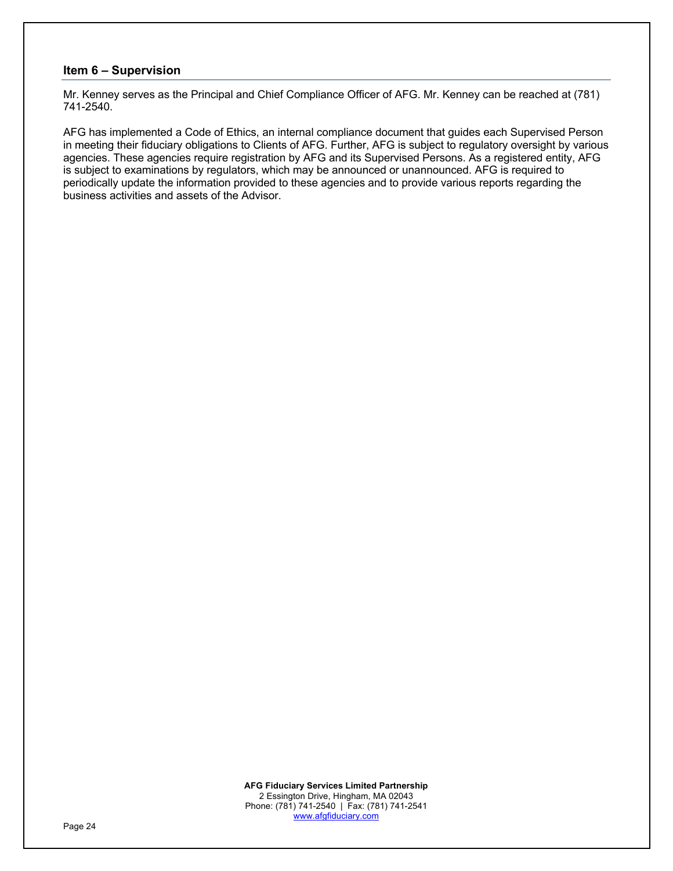# **Item 6 – Supervision**

Mr. Kenney serves as the Principal and Chief Compliance Officer of AFG. Mr. Kenney can be reached at (781) 741-2540.

AFG has implemented a Code of Ethics, an internal compliance document that guides each Supervised Person in meeting their fiduciary obligations to Clients of AFG. Further, AFG is subject to regulatory oversight by various agencies. These agencies require registration by AFG and its Supervised Persons. As a registered entity, AFG is subject to examinations by regulators, which may be announced or unannounced. AFG is required to periodically update the information provided to these agencies and to provide various reports regarding the business activities and assets of the Advisor.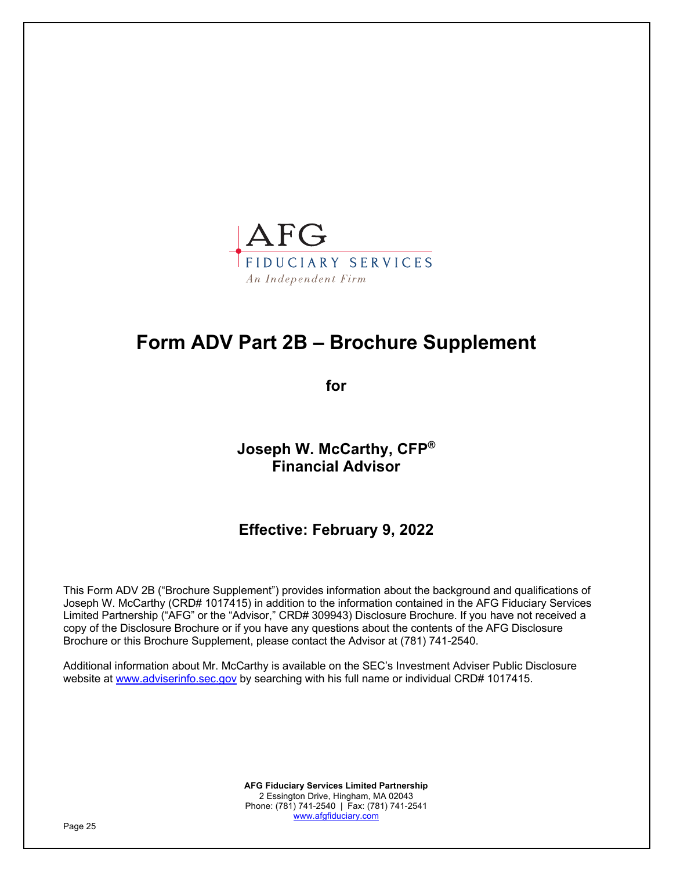

# **Form ADV Part 2B – Brochure Supplement**

**for**

**Joseph W. McCarthy, CFP® Financial Advisor**

**Effective: February 9, 2022**

This Form ADV 2B ("Brochure Supplement") provides information about the background and qualifications of Joseph W. McCarthy (CRD# 1017415) in addition to the information contained in the AFG Fiduciary Services Limited Partnership ("AFG" or the "Advisor," CRD# 309943) Disclosure Brochure. If you have not received a copy of the Disclosure Brochure or if you have any questions about the contents of the AFG Disclosure Brochure or this Brochure Supplement, please contact the Advisor at (781) 741-2540.

Additional information about Mr. McCarthy is available on the SEC's Investment Adviser Public Disclosure website at www.adviserinfo.sec.gov by searching with his full name or individual CRD# 1017415.

> **AFG Fiduciary Services Limited Partnership** 2 Essington Drive, Hingham, MA 02043 Phone: (781) 741-2540 | Fax: (781) 741-2541 www.afgfiduciary.com

Page 25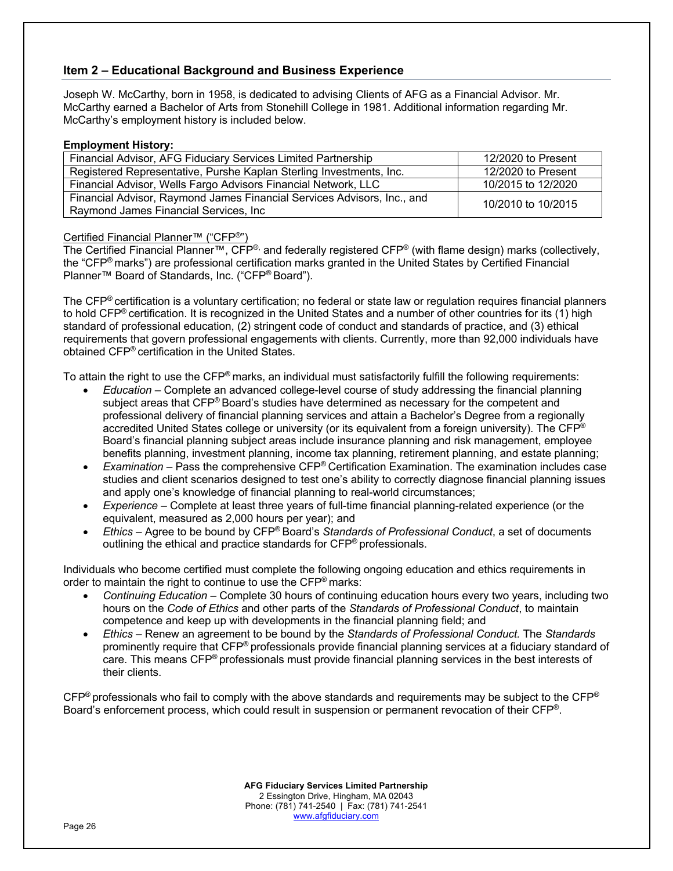# **Item 2 – Educational Background and Business Experience**

Joseph W. McCarthy, born in 1958, is dedicated to advising Clients of AFG as a Financial Advisor. Mr. McCarthy earned a Bachelor of Arts from Stonehill College in 1981. Additional information regarding Mr. McCarthy's employment history is included below.

### **Employment History:**

| Financial Advisor, AFG Fiduciary Services Limited Partnership                                                    | 12/2020 to Present |
|------------------------------------------------------------------------------------------------------------------|--------------------|
| Registered Representative, Purshe Kaplan Sterling Investments, Inc.                                              | 12/2020 to Present |
| Financial Advisor, Wells Fargo Advisors Financial Network, LLC                                                   | 10/2015 to 12/2020 |
| Financial Advisor, Raymond James Financial Services Advisors, Inc., and<br>Raymond James Financial Services, Inc | 10/2010 to 10/2015 |

# Certified Financial Planner™ ("CFP®")

The Certified Financial Planner™, CFP®, and federally registered CFP® (with flame design) marks (collectively, the "CFP® marks") are professional certification marks granted in the United States by Certified Financial Planner™ Board of Standards, Inc. ("CFP® Board").

The CFP® certification is a voluntary certification; no federal or state law or regulation requires financial planners to hold CFP® certification. It is recognized in the United States and a number of other countries for its (1) high standard of professional education, (2) stringent code of conduct and standards of practice, and (3) ethical requirements that govern professional engagements with clients. Currently, more than 92,000 individuals have obtained CFP® certification in the United States.

To attain the right to use the CFP® marks, an individual must satisfactorily fulfill the following requirements:

- *Education* Complete an advanced college-level course of study addressing the financial planning subject areas that CFP® Board's studies have determined as necessary for the competent and professional delivery of financial planning services and attain a Bachelor's Degree from a regionally accredited United States college or university (or its equivalent from a foreign university). The CFP<sup>®</sup> Board's financial planning subject areas include insurance planning and risk management, employee benefits planning, investment planning, income tax planning, retirement planning, and estate planning;
- *Examination* Pass the comprehensive CFP® Certification Examination. The examination includes case studies and client scenarios designed to test one's ability to correctly diagnose financial planning issues and apply one's knowledge of financial planning to real-world circumstances;
- *Experience* Complete at least three years of full-time financial planning-related experience (or the equivalent, measured as 2,000 hours per year); and
- *Ethics* Agree to be bound by CFP® Board's *Standards of Professional Conduct*, a set of documents outlining the ethical and practice standards for CFP® professionals.

Individuals who become certified must complete the following ongoing education and ethics requirements in order to maintain the right to continue to use the CFP<sup>®</sup> marks:

- *Continuing Education* Complete 30 hours of continuing education hours every two years, including two hours on the *Code of Ethics* and other parts of the *Standards of Professional Conduct*, to maintain competence and keep up with developments in the financial planning field; and
- *Ethics* Renew an agreement to be bound by the *Standards of Professional Conduct.* The *Standards* prominently require that CFP® professionals provide financial planning services at a fiduciary standard of care. This means CFP® professionals must provide financial planning services in the best interests of their clients.

 $CFP<sup>®</sup>$  professionals who fail to comply with the above standards and requirements may be subject to the  $CFP<sup>®</sup>$ Board's enforcement process, which could result in suspension or permanent revocation of their CFP®.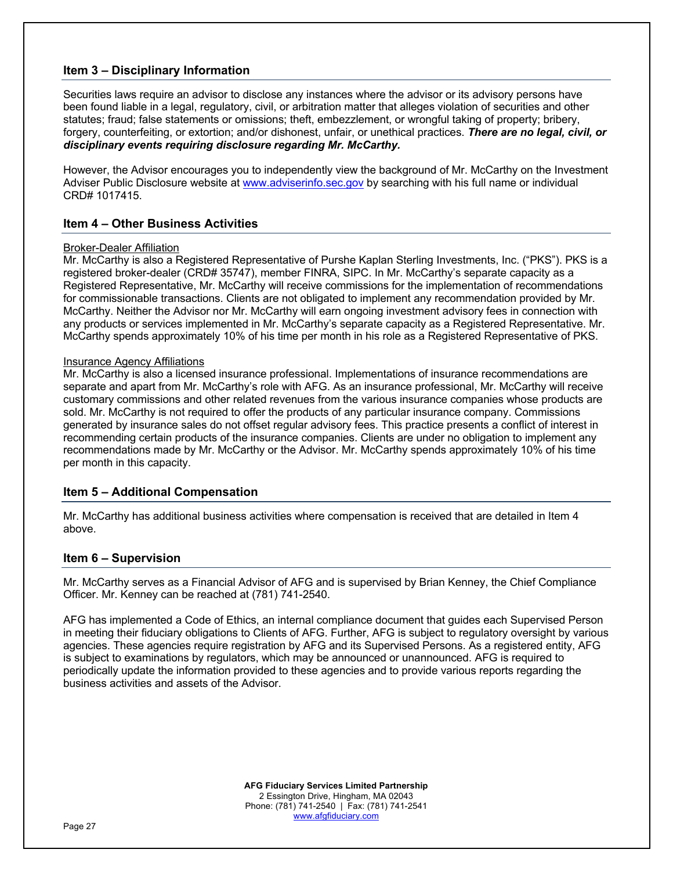# **Item 3 – Disciplinary Information**

Securities laws require an advisor to disclose any instances where the advisor or its advisory persons have been found liable in a legal, regulatory, civil, or arbitration matter that alleges violation of securities and other statutes; fraud; false statements or omissions; theft, embezzlement, or wrongful taking of property; bribery, forgery, counterfeiting, or extortion; and/or dishonest, unfair, or unethical practices. *There are no legal, civil, or disciplinary events requiring disclosure regarding Mr. McCarthy.*

However, the Advisor encourages you to independently view the background of Mr. McCarthy on the Investment Adviser Public Disclosure website at www.adviserinfo.sec.gov by searching with his full name or individual CRD# 1017415.

# **Item 4 – Other Business Activities**

#### Broker-Dealer Affiliation

Mr. McCarthy is also a Registered Representative of Purshe Kaplan Sterling Investments, Inc. ("PKS"). PKS is a registered broker-dealer (CRD# 35747), member FINRA, SIPC. In Mr. McCarthy's separate capacity as a Registered Representative, Mr. McCarthy will receive commissions for the implementation of recommendations for commissionable transactions. Clients are not obligated to implement any recommendation provided by Mr. McCarthy. Neither the Advisor nor Mr. McCarthy will earn ongoing investment advisory fees in connection with any products or services implemented in Mr. McCarthy's separate capacity as a Registered Representative. Mr. McCarthy spends approximately 10% of his time per month in his role as a Registered Representative of PKS.

#### Insurance Agency Affiliations

Mr. McCarthy is also a licensed insurance professional. Implementations of insurance recommendations are separate and apart from Mr. McCarthy's role with AFG. As an insurance professional, Mr. McCarthy will receive customary commissions and other related revenues from the various insurance companies whose products are sold. Mr. McCarthy is not required to offer the products of any particular insurance company. Commissions generated by insurance sales do not offset regular advisory fees. This practice presents a conflict of interest in recommending certain products of the insurance companies. Clients are under no obligation to implement any recommendations made by Mr. McCarthy or the Advisor. Mr. McCarthy spends approximately 10% of his time per month in this capacity.

# **Item 5 – Additional Compensation**

Mr. McCarthy has additional business activities where compensation is received that are detailed in Item 4 above.

# **Item 6 – Supervision**

Mr. McCarthy serves as a Financial Advisor of AFG and is supervised by Brian Kenney, the Chief Compliance Officer. Mr. Kenney can be reached at (781) 741-2540.

AFG has implemented a Code of Ethics, an internal compliance document that guides each Supervised Person in meeting their fiduciary obligations to Clients of AFG. Further, AFG is subject to regulatory oversight by various agencies. These agencies require registration by AFG and its Supervised Persons. As a registered entity, AFG is subject to examinations by regulators, which may be announced or unannounced. AFG is required to periodically update the information provided to these agencies and to provide various reports regarding the business activities and assets of the Advisor.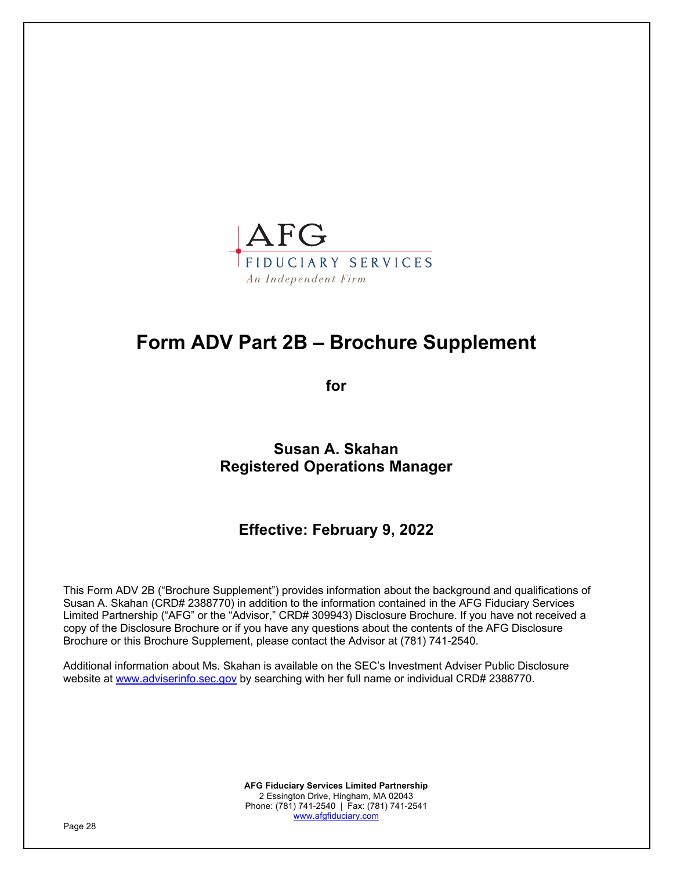

# **Form ADV Part 2B – Brochure Supplement**

**for**

**Susan A. Skahan Registered Operations Manager**

**Effective: February 9, 2022**

This Form ADV 2B ("Brochure Supplement") provides information about the background and qualifications of Susan A. Skahan (CRD# 2388770) in addition to the information contained in the AFG Fiduciary Services Limited Partnership ("AFG" or the "Advisor," CRD# 309943) Disclosure Brochure. If you have not received a copy of the Disclosure Brochure or if you have any questions about the contents of the AFG Disclosure Brochure or this Brochure Supplement, please contact the Advisor at (781) 741-2540.

Additional information about Ms. Skahan is available on the SEC's Investment Adviser Public Disclosure website at www.adviserinfo.sec.gov by searching with her full name or individual CRD# 2388770.

> **AFG Fiduciary Services Limited Partnership** 2 Essington Drive, Hingham, MA 02043 Phone: (781) 741-2540 | Fax: (781) 741-2541 www.afgfiduciary.com

Page 28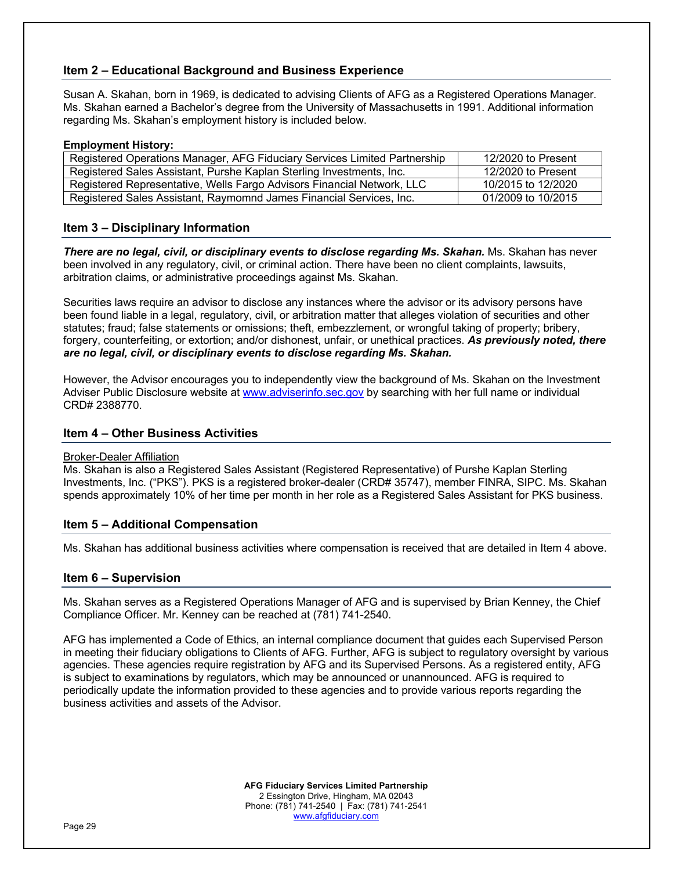# **Item 2 – Educational Background and Business Experience**

Susan A. Skahan, born in 1969, is dedicated to advising Clients of AFG as a Registered Operations Manager. Ms. Skahan earned a Bachelor's degree from the University of Massachusetts in 1991. Additional information regarding Ms. Skahan's employment history is included below.

#### **Employment History:**

| Registered Operations Manager, AFG Fiduciary Services Limited Partnership | 12/2020 to Present |
|---------------------------------------------------------------------------|--------------------|
| Registered Sales Assistant, Purshe Kaplan Sterling Investments, Inc.      | 12/2020 to Present |
| Registered Representative, Wells Fargo Advisors Financial Network, LLC    | 10/2015 to 12/2020 |
| Registered Sales Assistant, Raymomnd James Financial Services, Inc.       | 01/2009 to 10/2015 |

# **Item 3 – Disciplinary Information**

*There are no legal, civil, or disciplinary events to disclose regarding Ms. Skahan.* Ms. Skahan has never been involved in any regulatory, civil, or criminal action. There have been no client complaints, lawsuits, arbitration claims, or administrative proceedings against Ms. Skahan.

Securities laws require an advisor to disclose any instances where the advisor or its advisory persons have been found liable in a legal, regulatory, civil, or arbitration matter that alleges violation of securities and other statutes; fraud; false statements or omissions; theft, embezzlement, or wrongful taking of property; bribery, forgery, counterfeiting, or extortion; and/or dishonest, unfair, or unethical practices. *As previously noted, there are no legal, civil, or disciplinary events to disclose regarding Ms. Skahan.*

However, the Advisor encourages you to independently view the background of Ms. Skahan on the Investment Adviser Public Disclosure website at www.adviserinfo.sec.gov by searching with her full name or individual CRD# 2388770.

# **Item 4 – Other Business Activities**

# Broker-Dealer Affiliation

Ms. Skahan is also a Registered Sales Assistant (Registered Representative) of Purshe Kaplan Sterling Investments, Inc. ("PKS"). PKS is a registered broker-dealer (CRD# 35747), member FINRA, SIPC. Ms. Skahan spends approximately 10% of her time per month in her role as a Registered Sales Assistant for PKS business.

# **Item 5 – Additional Compensation**

Ms. Skahan has additional business activities where compensation is received that are detailed in Item 4 above.

# **Item 6 – Supervision**

Ms. Skahan serves as a Registered Operations Manager of AFG and is supervised by Brian Kenney, the Chief Compliance Officer. Mr. Kenney can be reached at (781) 741-2540.

AFG has implemented a Code of Ethics, an internal compliance document that guides each Supervised Person in meeting their fiduciary obligations to Clients of AFG. Further, AFG is subject to regulatory oversight by various agencies. These agencies require registration by AFG and its Supervised Persons. As a registered entity, AFG is subject to examinations by regulators, which may be announced or unannounced. AFG is required to periodically update the information provided to these agencies and to provide various reports regarding the business activities and assets of the Advisor.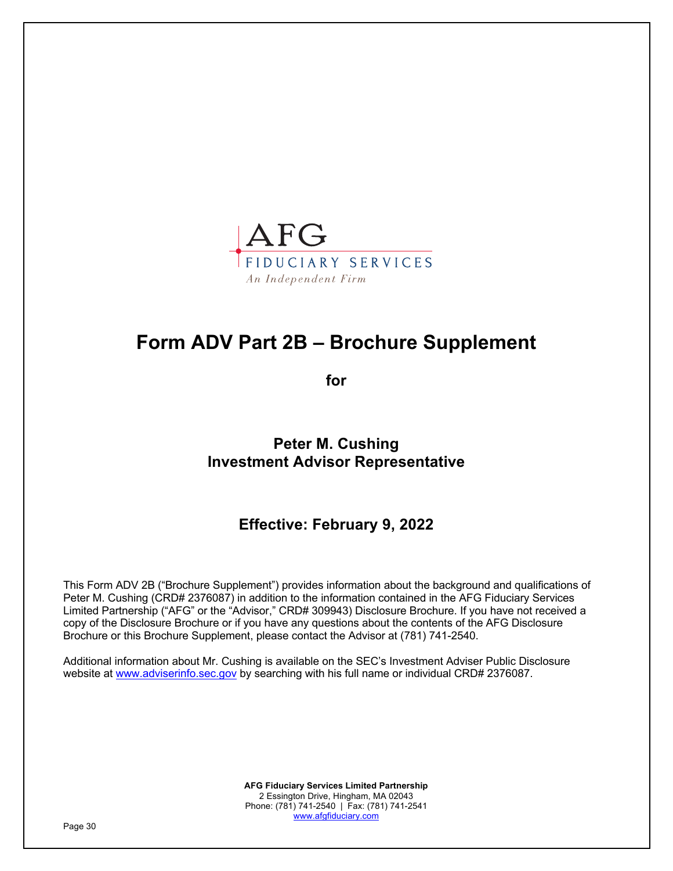

# **Form ADV Part 2B – Brochure Supplement**

**for**

**Peter M. Cushing Investment Advisor Representative**

**Effective: February 9, 2022**

This Form ADV 2B ("Brochure Supplement") provides information about the background and qualifications of Peter M. Cushing (CRD# 2376087) in addition to the information contained in the AFG Fiduciary Services Limited Partnership ("AFG" or the "Advisor," CRD# 309943) Disclosure Brochure. If you have not received a copy of the Disclosure Brochure or if you have any questions about the contents of the AFG Disclosure Brochure or this Brochure Supplement, please contact the Advisor at (781) 741-2540.

Additional information about Mr. Cushing is available on the SEC's Investment Adviser Public Disclosure website at www.adviserinfo.sec.gov by searching with his full name or individual CRD# 2376087.

> **AFG Fiduciary Services Limited Partnership** 2 Essington Drive, Hingham, MA 02043 Phone: (781) 741-2540 | Fax: (781) 741-2541 www.afgfiduciary.com

Page 30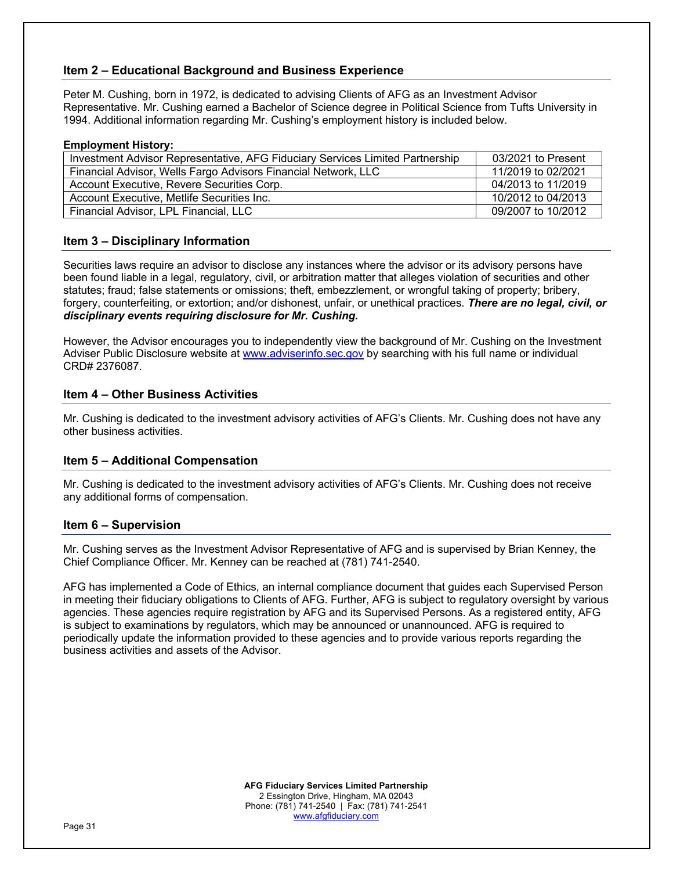# **Item 2 – Educational Background and Business Experience**

Peter M. Cushing, born in 1972, is dedicated to advising Clients of AFG as an Investment Advisor Representative. Mr. Cushing earned a Bachelor of Science degree in Political Science from Tufts University in 1994. Additional information regarding Mr. Cushing's employment history is included below.

#### **Employment History:**

| Investment Advisor Representative, AFG Fiduciary Services Limited Partnership |                    |
|-------------------------------------------------------------------------------|--------------------|
|                                                                               | 03/2021 to Present |
| Financial Advisor, Wells Fargo Advisors Financial Network, LLC                | 11/2019 to 02/2021 |
| Account Executive, Revere Securities Corp.                                    | 04/2013 to 11/2019 |
| Account Executive, Metlife Securities Inc.                                    | 10/2012 to 04/2013 |
| Financial Advisor, LPL Financial, LLC                                         | 09/2007 to 10/2012 |

# **Item 3 – Disciplinary Information**

Securities laws require an advisor to disclose any instances where the advisor or its advisory persons have been found liable in a legal, regulatory, civil, or arbitration matter that alleges violation of securities and other statutes; fraud; false statements or omissions; theft, embezzlement, or wrongful taking of property; bribery, forgery, counterfeiting, or extortion; and/or dishonest, unfair, or unethical practices. *There are no legal, civil, or disciplinary events requiring disclosure for Mr. Cushing.*

However, the Advisor encourages you to independently view the background of Mr. Cushing on the Investment Adviser Public Disclosure website at www.adviserinfo.sec.gov by searching with his full name or individual CRD# 2376087.

# **Item 4 – Other Business Activities**

Mr. Cushing is dedicated to the investment advisory activities of AFG's Clients. Mr. Cushing does not have any other business activities.

# **Item 5 – Additional Compensation**

Mr. Cushing is dedicated to the investment advisory activities of AFG's Clients. Mr. Cushing does not receive any additional forms of compensation.

#### **Item 6 – Supervision**

Mr. Cushing serves as the Investment Advisor Representative of AFG and is supervised by Brian Kenney, the Chief Compliance Officer. Mr. Kenney can be reached at (781) 741-2540.

AFG has implemented a Code of Ethics, an internal compliance document that guides each Supervised Person in meeting their fiduciary obligations to Clients of AFG. Further, AFG is subject to regulatory oversight by various agencies. These agencies require registration by AFG and its Supervised Persons. As a registered entity, AFG is subject to examinations by regulators, which may be announced or unannounced. AFG is required to periodically update the information provided to these agencies and to provide various reports regarding the business activities and assets of the Advisor.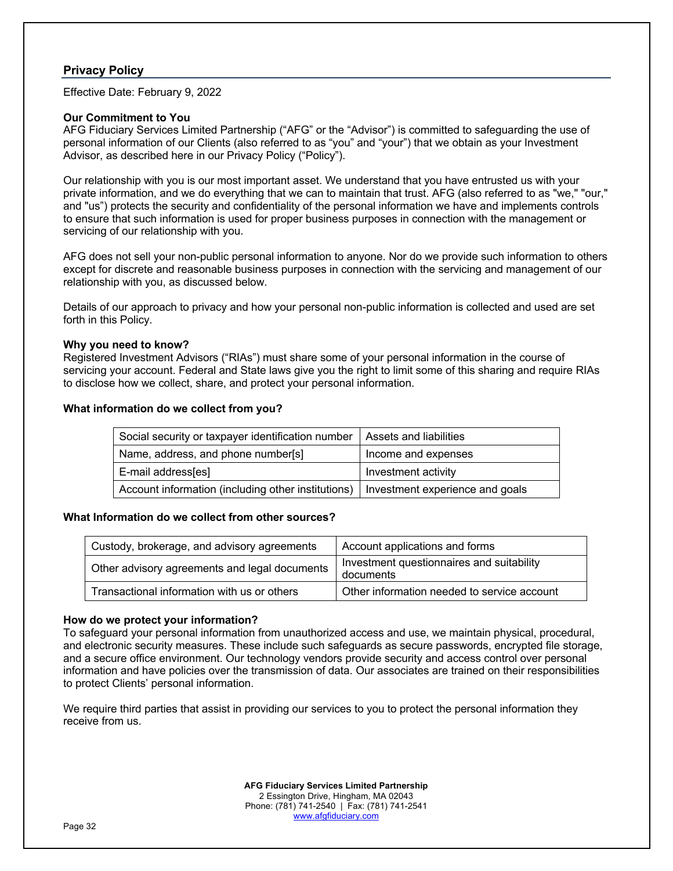# **Privacy Policy**

Effective Date: February 9, 2022

# **Our Commitment to You**

AFG Fiduciary Services Limited Partnership ("AFG" or the "Advisor") is committed to safeguarding the use of personal information of our Clients (also referred to as "you" and "your") that we obtain as your Investment Advisor, as described here in our Privacy Policy ("Policy").

Our relationship with you is our most important asset. We understand that you have entrusted us with your private information, and we do everything that we can to maintain that trust. AFG (also referred to as "we," "our," and "us") protects the security and confidentiality of the personal information we have and implements controls to ensure that such information is used for proper business purposes in connection with the management or servicing of our relationship with you.

AFG does not sell your non-public personal information to anyone. Nor do we provide such information to others except for discrete and reasonable business purposes in connection with the servicing and management of our relationship with you, as discussed below.

Details of our approach to privacy and how your personal non-public information is collected and used are set forth in this Policy.

#### **Why you need to know?**

Registered Investment Advisors ("RIAs") must share some of your personal information in the course of servicing your account. Federal and State laws give you the right to limit some of this sharing and require RIAs to disclose how we collect, share, and protect your personal information.

#### **What information do we collect from you?**

| Social security or taxpayer identification number  | Assets and liabilities          |
|----------------------------------------------------|---------------------------------|
| Name, address, and phone number[s]                 | Income and expenses             |
| E-mail address[es]                                 | Investment activity             |
| Account information (including other institutions) | Investment experience and goals |

#### **What Information do we collect from other sources?**

| Custody, brokerage, and advisory agreements   | Account applications and forms                         |
|-----------------------------------------------|--------------------------------------------------------|
| Other advisory agreements and legal documents | Investment questionnaires and suitability<br>documents |
| Transactional information with us or others   | Other information needed to service account            |

# **How do we protect your information?**

To safeguard your personal information from unauthorized access and use, we maintain physical, procedural, and electronic security measures. These include such safeguards as secure passwords, encrypted file storage, and a secure office environment. Our technology vendors provide security and access control over personal information and have policies over the transmission of data. Our associates are trained on their responsibilities to protect Clients' personal information.

We require third parties that assist in providing our services to you to protect the personal information they receive from us.